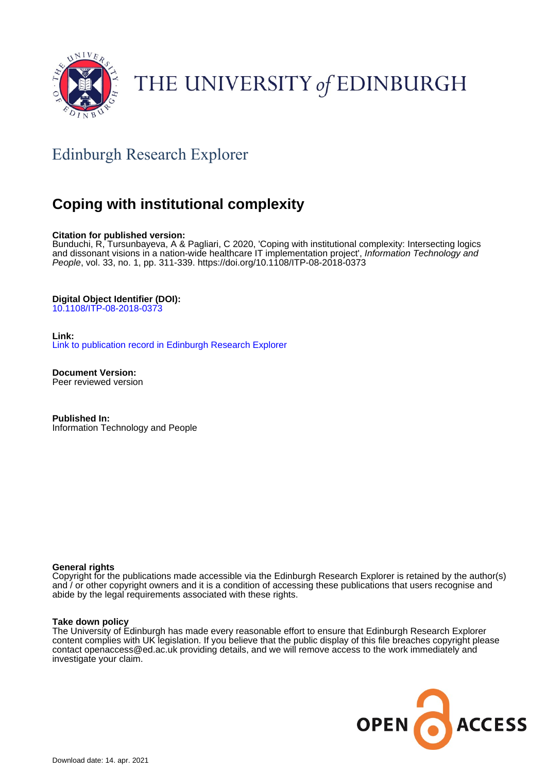

# THE UNIVERSITY of EDINBURGH

# Edinburgh Research Explorer

## **Coping with institutional complexity**

#### **Citation for published version:**

Bunduchi, R, Tursunbayeva, A & Pagliari, C 2020, 'Coping with institutional complexity: Intersecting logics and dissonant visions in a nation-wide healthcare IT implementation project', Information Technology and People, vol. 33, no. 1, pp. 311-339.<https://doi.org/10.1108/ITP-08-2018-0373>

#### **Digital Object Identifier (DOI):**

[10.1108/ITP-08-2018-0373](https://doi.org/10.1108/ITP-08-2018-0373)

#### **Link:**

[Link to publication record in Edinburgh Research Explorer](https://www.research.ed.ac.uk/portal/en/publications/coping-with-institutional-complexity(87a06fda-0636-4fb6-974e-416ab703ce45).html)

**Document Version:** Peer reviewed version

**Published In:** Information Technology and People

#### **General rights**

Copyright for the publications made accessible via the Edinburgh Research Explorer is retained by the author(s) and / or other copyright owners and it is a condition of accessing these publications that users recognise and abide by the legal requirements associated with these rights.

#### **Take down policy**

The University of Edinburgh has made every reasonable effort to ensure that Edinburgh Research Explorer content complies with UK legislation. If you believe that the public display of this file breaches copyright please contact openaccess@ed.ac.uk providing details, and we will remove access to the work immediately and investigate your claim.

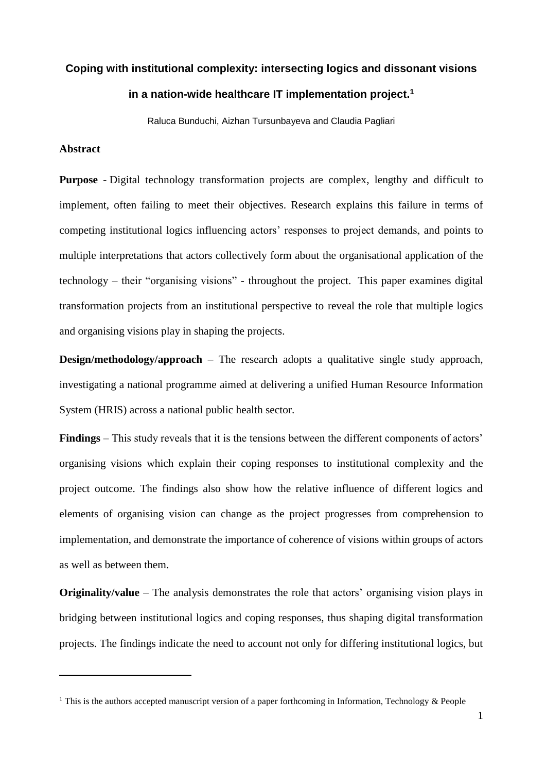# **Coping with institutional complexity: intersecting logics and dissonant visions in a nation-wide healthcare IT implementation project. 1**

Raluca Bunduchi, Aizhan Tursunbayeva and Claudia Pagliari

#### **Abstract**

<u>.</u>

**Purpose** - Digital technology transformation projects are complex, lengthy and difficult to implement, often failing to meet their objectives. Research explains this failure in terms of competing institutional logics influencing actors' responses to project demands, and points to multiple interpretations that actors collectively form about the organisational application of the technology – their "organising visions" - throughout the project. This paper examines digital transformation projects from an institutional perspective to reveal the role that multiple logics and organising visions play in shaping the projects.

**Design/methodology/approach** – The research adopts a qualitative single study approach, investigating a national programme aimed at delivering a unified Human Resource Information System (HRIS) across a national public health sector.

**Findings** – This study reveals that it is the tensions between the different components of actors' organising visions which explain their coping responses to institutional complexity and the project outcome. The findings also show how the relative influence of different logics and elements of organising vision can change as the project progresses from comprehension to implementation, and demonstrate the importance of coherence of visions within groups of actors as well as between them.

**Originality/value** – The analysis demonstrates the role that actors' organising vision plays in bridging between institutional logics and coping responses, thus shaping digital transformation projects. The findings indicate the need to account not only for differing institutional logics, but

<sup>&</sup>lt;sup>1</sup> This is the authors accepted manuscript version of a paper forthcoming in Information, Technology  $\&$  People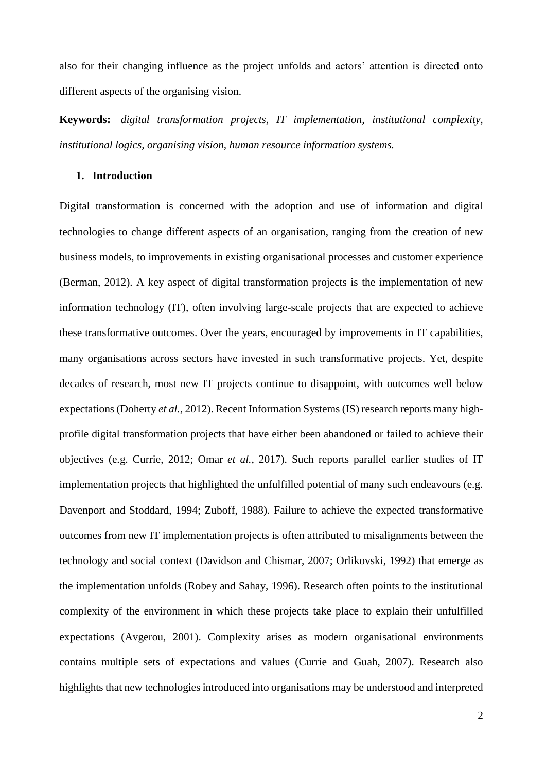also for their changing influence as the project unfolds and actors' attention is directed onto different aspects of the organising vision.

**Keywords:** *digital transformation projects, IT implementation, institutional complexity, institutional logics, organising vision, human resource information systems.*

#### **1. Introduction**

Digital transformation is concerned with the adoption and use of information and digital technologies to change different aspects of an organisation, ranging from the creation of new business models, to improvements in existing organisational processes and customer experience (Berman, 2012). A key aspect of digital transformation projects is the implementation of new information technology (IT), often involving large-scale projects that are expected to achieve these transformative outcomes. Over the years, encouraged by improvements in IT capabilities, many organisations across sectors have invested in such transformative projects. Yet, despite decades of research, most new IT projects continue to disappoint, with outcomes well below expectations (Doherty *et al.*, 2012). Recent Information Systems (IS) research reports many highprofile digital transformation projects that have either been abandoned or failed to achieve their objectives (e.g. Currie, 2012; Omar *et al.*, 2017). Such reports parallel earlier studies of IT implementation projects that highlighted the unfulfilled potential of many such endeavours (e.g. Davenport and Stoddard, 1994; Zuboff, 1988). Failure to achieve the expected transformative outcomes from new IT implementation projects is often attributed to misalignments between the technology and social context (Davidson and Chismar, 2007; Orlikovski, 1992) that emerge as the implementation unfolds (Robey and Sahay, 1996). Research often points to the institutional complexity of the environment in which these projects take place to explain their unfulfilled expectations (Avgerou, 2001). Complexity arises as modern organisational environments contains multiple sets of expectations and values (Currie and Guah, 2007). Research also highlights that new technologies introduced into organisations may be understood and interpreted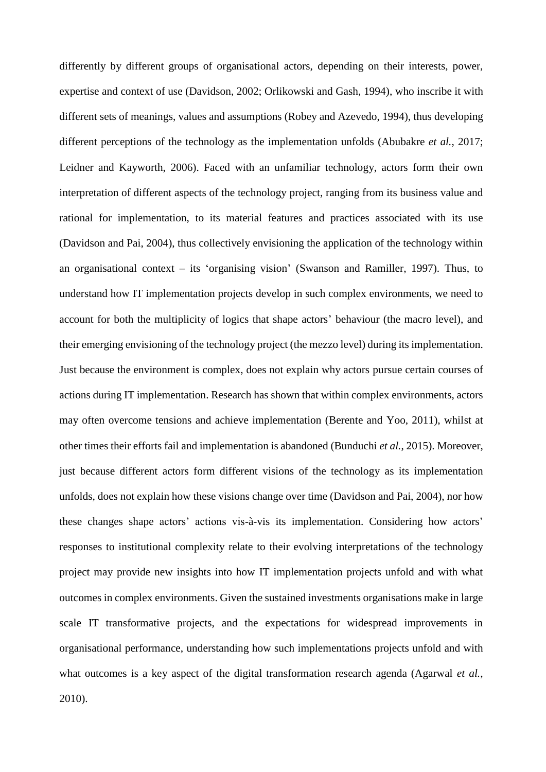differently by different groups of organisational actors, depending on their interests, power, expertise and context of use (Davidson, 2002; Orlikowski and Gash, 1994), who inscribe it with different sets of meanings, values and assumptions (Robey and Azevedo, 1994), thus developing different perceptions of the technology as the implementation unfolds (Abubakre *et al.*, 2017; Leidner and Kayworth, 2006). Faced with an unfamiliar technology, actors form their own interpretation of different aspects of the technology project, ranging from its business value and rational for implementation, to its material features and practices associated with its use (Davidson and Pai, 2004), thus collectively envisioning the application of the technology within an organisational context – its 'organising vision' (Swanson and Ramiller, 1997). Thus, to understand how IT implementation projects develop in such complex environments, we need to account for both the multiplicity of logics that shape actors' behaviour (the macro level), and their emerging envisioning of the technology project (the mezzo level) during its implementation. Just because the environment is complex, does not explain why actors pursue certain courses of actions during IT implementation. Research has shown that within complex environments, actors may often overcome tensions and achieve implementation (Berente and Yoo, 2011), whilst at other times their efforts fail and implementation is abandoned (Bunduchi *et al.*, 2015). Moreover, just because different actors form different visions of the technology as its implementation unfolds, does not explain how these visions change over time (Davidson and Pai, 2004), nor how these changes shape actors' actions vis-à-vis its implementation. Considering how actors' responses to institutional complexity relate to their evolving interpretations of the technology project may provide new insights into how IT implementation projects unfold and with what outcomes in complex environments. Given the sustained investments organisations make in large scale IT transformative projects, and the expectations for widespread improvements in organisational performance, understanding how such implementations projects unfold and with what outcomes is a key aspect of the digital transformation research agenda (Agarwal *et al.*, 2010).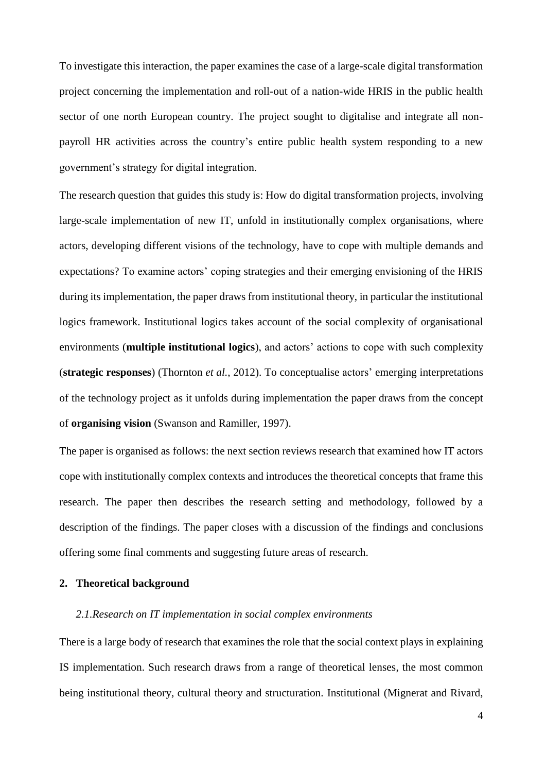To investigate this interaction, the paper examines the case of a large-scale digital transformation project concerning the implementation and roll-out of a nation-wide HRIS in the public health sector of one north European country. The project sought to digitalise and integrate all nonpayroll HR activities across the country's entire public health system responding to a new government's strategy for digital integration.

The research question that guides this study is: How do digital transformation projects, involving large-scale implementation of new IT, unfold in institutionally complex organisations, where actors, developing different visions of the technology, have to cope with multiple demands and expectations? To examine actors' coping strategies and their emerging envisioning of the HRIS during its implementation, the paper draws from institutional theory, in particular the institutional logics framework. Institutional logics takes account of the social complexity of organisational environments (**multiple institutional logics**), and actors' actions to cope with such complexity (**strategic responses**) (Thornton *et al.*, 2012). To conceptualise actors' emerging interpretations of the technology project as it unfolds during implementation the paper draws from the concept of **organising vision** (Swanson and Ramiller, 1997).

The paper is organised as follows: the next section reviews research that examined how IT actors cope with institutionally complex contexts and introduces the theoretical concepts that frame this research. The paper then describes the research setting and methodology, followed by a description of the findings. The paper closes with a discussion of the findings and conclusions offering some final comments and suggesting future areas of research.

#### **2. Theoretical background**

#### *2.1.Research on IT implementation in social complex environments*

There is a large body of research that examines the role that the social context plays in explaining IS implementation. Such research draws from a range of theoretical lenses, the most common being institutional theory, cultural theory and structuration. Institutional (Mignerat and Rivard,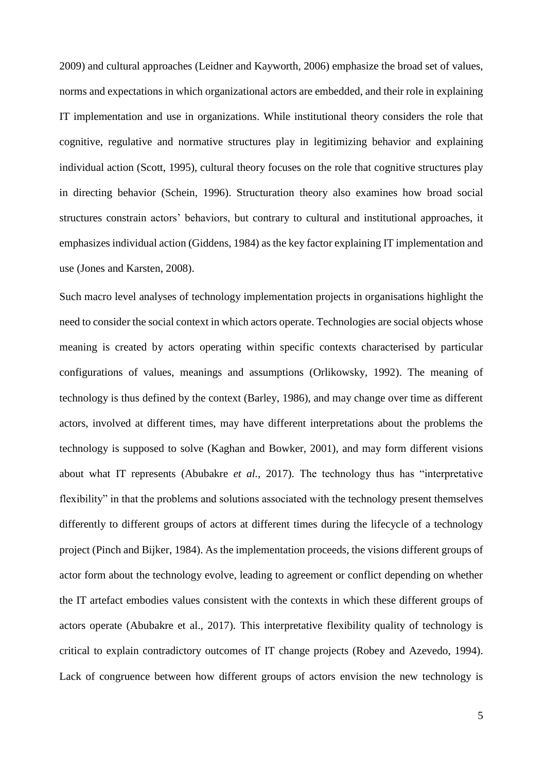2009) and cultural approaches (Leidner and Kayworth, 2006) emphasize the broad set of values, norms and expectations in which organizational actors are embedded, and their role in explaining IT implementation and use in organizations. While institutional theory considers the role that cognitive, regulative and normative structures play in legitimizing behavior and explaining individual action (Scott, 1995), cultural theory focuses on the role that cognitive structures play in directing behavior (Schein, 1996). Structuration theory also examines how broad social structures constrain actors' behaviors, but contrary to cultural and institutional approaches, it emphasizes individual action (Giddens, 1984) as the key factor explaining IT implementation and use (Jones and Karsten, 2008).

Such macro level analyses of technology implementation projects in organisations highlight the need to consider the social context in which actors operate. Technologies are social objects whose meaning is created by actors operating within specific contexts characterised by particular configurations of values, meanings and assumptions (Orlikowsky, 1992). The meaning of technology is thus defined by the context (Barley, 1986), and may change over time as different actors, involved at different times, may have different interpretations about the problems the technology is supposed to solve (Kaghan and Bowker, 2001), and may form different visions about what IT represents (Abubakre *et al.*, 2017). The technology thus has "interpretative flexibility" in that the problems and solutions associated with the technology present themselves differently to different groups of actors at different times during the lifecycle of a technology project (Pinch and Bijker, 1984). As the implementation proceeds, the visions different groups of actor form about the technology evolve, leading to agreement or conflict depending on whether the IT artefact embodies values consistent with the contexts in which these different groups of actors operate (Abubakre et al., 2017). This interpretative flexibility quality of technology is critical to explain contradictory outcomes of IT change projects (Robey and Azevedo, 1994). Lack of congruence between how different groups of actors envision the new technology is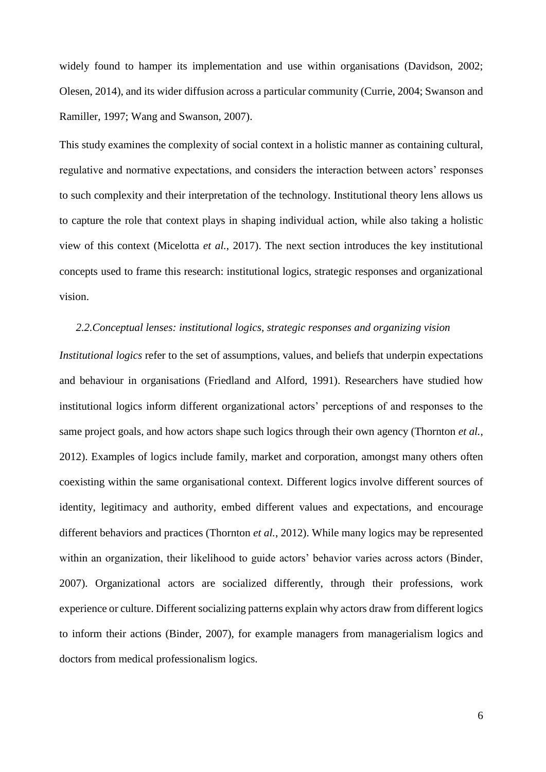widely found to hamper its implementation and use within organisations (Davidson, 2002; Olesen, 2014), and its wider diffusion across a particular community (Currie, 2004; Swanson and Ramiller, 1997; Wang and Swanson, 2007).

This study examines the complexity of social context in a holistic manner as containing cultural, regulative and normative expectations, and considers the interaction between actors' responses to such complexity and their interpretation of the technology. Institutional theory lens allows us to capture the role that context plays in shaping individual action, while also taking a holistic view of this context (Micelotta *et al.*, 2017). The next section introduces the key institutional concepts used to frame this research: institutional logics, strategic responses and organizational vision.

#### *2.2.Conceptual lenses: institutional logics, strategic responses and organizing vision*

*Institutional logics* refer to the set of assumptions, values, and beliefs that underpin expectations and behaviour in organisations (Friedland and Alford, 1991). Researchers have studied how institutional logics inform different organizational actors' perceptions of and responses to the same project goals, and how actors shape such logics through their own agency (Thornton *et al.*, 2012). Examples of logics include family, market and corporation, amongst many others often coexisting within the same organisational context. Different logics involve different sources of identity, legitimacy and authority, embed different values and expectations, and encourage different behaviors and practices (Thornton *et al.*, 2012). While many logics may be represented within an organization, their likelihood to guide actors' behavior varies across actors (Binder, 2007). Organizational actors are socialized differently, through their professions, work experience or culture. Different socializing patterns explain why actors draw from different logics to inform their actions (Binder, 2007), for example managers from managerialism logics and doctors from medical professionalism logics.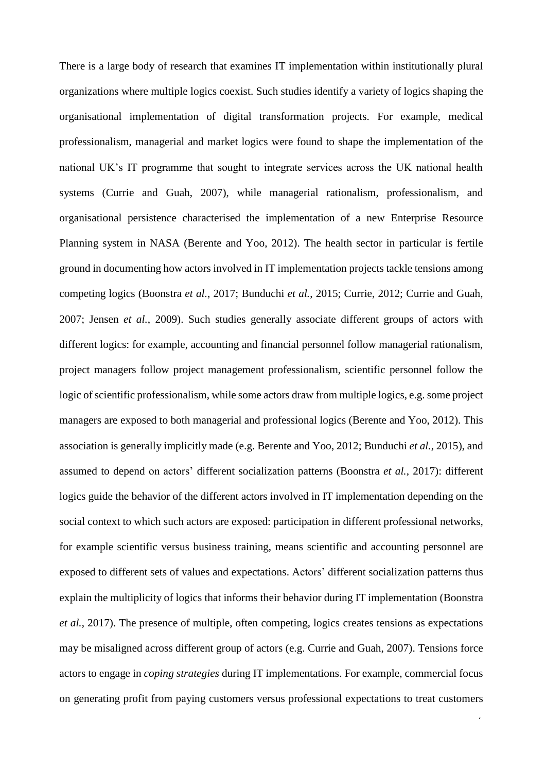There is a large body of research that examines IT implementation within institutionally plural organizations where multiple logics coexist. Such studies identify a variety of logics shaping the organisational implementation of digital transformation projects. For example, medical professionalism, managerial and market logics were found to shape the implementation of the national UK's IT programme that sought to integrate services across the UK national health systems (Currie and Guah, 2007), while managerial rationalism, professionalism, and organisational persistence characterised the implementation of a new Enterprise Resource Planning system in NASA (Berente and Yoo, 2012). The health sector in particular is fertile ground in documenting how actors involved in IT implementation projects tackle tensions among competing logics (Boonstra *et al.*, 2017; Bunduchi *et al.*, 2015; Currie, 2012; Currie and Guah, 2007; Jensen *et al.*, 2009). Such studies generally associate different groups of actors with different logics: for example, accounting and financial personnel follow managerial rationalism, project managers follow project management professionalism, scientific personnel follow the logic of scientific professionalism, while some actors draw from multiple logics, e.g. some project managers are exposed to both managerial and professional logics (Berente and Yoo, 2012). This association is generally implicitly made (e.g. Berente and Yoo, 2012; Bunduchi *et al.*, 2015), and assumed to depend on actors' different socialization patterns (Boonstra *et al.*, 2017): different logics guide the behavior of the different actors involved in IT implementation depending on the social context to which such actors are exposed: participation in different professional networks, for example scientific versus business training, means scientific and accounting personnel are exposed to different sets of values and expectations. Actors' different socialization patterns thus explain the multiplicity of logics that informs their behavior during IT implementation (Boonstra *et al.*, 2017). The presence of multiple, often competing, logics creates tensions as expectations may be misaligned across different group of actors (e.g. Currie and Guah, 2007). Tensions force actors to engage in *coping strategies* during IT implementations. For example, commercial focus on generating profit from paying customers versus professional expectations to treat customers

7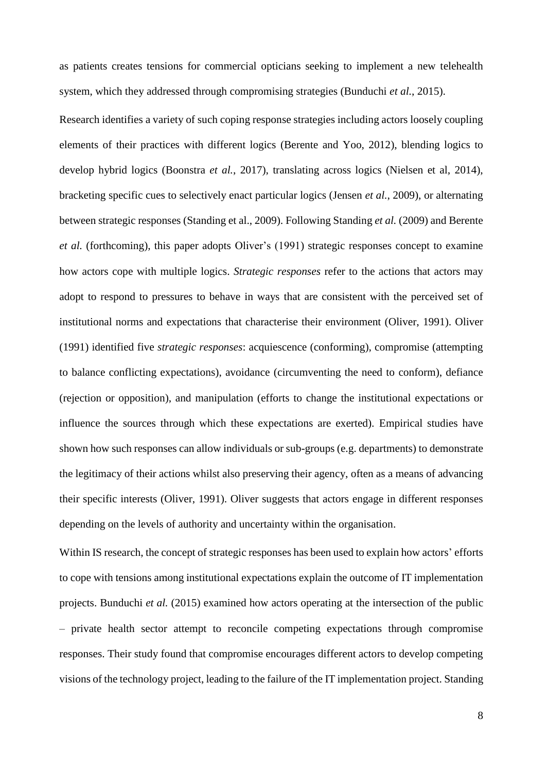as patients creates tensions for commercial opticians seeking to implement a new telehealth system, which they addressed through compromising strategies (Bunduchi *et al.*, 2015).

Research identifies a variety of such coping response strategies including actors loosely coupling elements of their practices with different logics (Berente and Yoo, 2012), blending logics to develop hybrid logics (Boonstra *et al.*, 2017), translating across logics (Nielsen et al, 2014), bracketing specific cues to selectively enact particular logics (Jensen *et al.*, 2009), or alternating between strategic responses (Standing et al., 2009). Following Standing *et al.* (2009) and Berente *et al.* (forthcoming), this paper adopts Oliver's (1991) strategic responses concept to examine how actors cope with multiple logics. *Strategic responses* refer to the actions that actors may adopt to respond to pressures to behave in ways that are consistent with the perceived set of institutional norms and expectations that characterise their environment (Oliver, 1991). Oliver (1991) identified five *strategic responses*: acquiescence (conforming), compromise (attempting to balance conflicting expectations), avoidance (circumventing the need to conform), defiance (rejection or opposition), and manipulation (efforts to change the institutional expectations or influence the sources through which these expectations are exerted). Empirical studies have shown how such responses can allow individuals or sub-groups (e.g. departments) to demonstrate the legitimacy of their actions whilst also preserving their agency, often as a means of advancing their specific interests (Oliver, 1991). Oliver suggests that actors engage in different responses depending on the levels of authority and uncertainty within the organisation.

Within IS research, the concept of strategic responses has been used to explain how actors' efforts to cope with tensions among institutional expectations explain the outcome of IT implementation projects. Bunduchi *et al.* (2015) examined how actors operating at the intersection of the public – private health sector attempt to reconcile competing expectations through compromise responses. Their study found that compromise encourages different actors to develop competing visions of the technology project, leading to the failure of the IT implementation project. Standing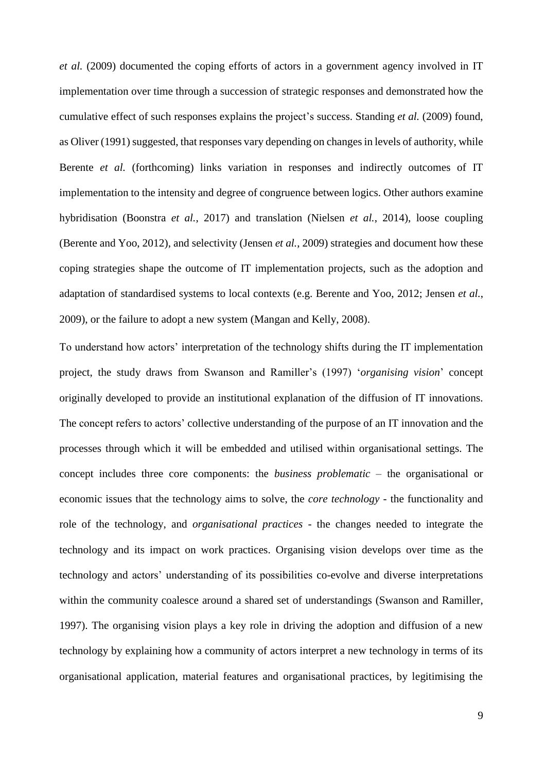*et al.* (2009) documented the coping efforts of actors in a government agency involved in IT implementation over time through a succession of strategic responses and demonstrated how the cumulative effect of such responses explains the project's success. Standing *et al.* (2009) found, as Oliver (1991) suggested, that responses vary depending on changes in levels of authority, while Berente *et al.* (forthcoming) links variation in responses and indirectly outcomes of IT implementation to the intensity and degree of congruence between logics. Other authors examine hybridisation (Boonstra *et al.*, 2017) and translation (Nielsen *et al.*, 2014), loose coupling (Berente and Yoo, 2012), and selectivity (Jensen *et al.*, 2009) strategies and document how these coping strategies shape the outcome of IT implementation projects, such as the adoption and adaptation of standardised systems to local contexts (e.g. Berente and Yoo, 2012; Jensen *et al.*, 2009), or the failure to adopt a new system (Mangan and Kelly, 2008).

To understand how actors' interpretation of the technology shifts during the IT implementation project, the study draws from Swanson and Ramiller's (1997) '*organising vision*' concept originally developed to provide an institutional explanation of the diffusion of IT innovations. The concept refers to actors' collective understanding of the purpose of an IT innovation and the processes through which it will be embedded and utilised within organisational settings. The concept includes three core components: the *business problematic –* the organisational or economic issues that the technology aims to solve, the *core technology* - the functionality and role of the technology, and *organisational practices -* the changes needed to integrate the technology and its impact on work practices. Organising vision develops over time as the technology and actors' understanding of its possibilities co-evolve and diverse interpretations within the community coalesce around a shared set of understandings (Swanson and Ramiller, 1997). The organising vision plays a key role in driving the adoption and diffusion of a new technology by explaining how a community of actors interpret a new technology in terms of its organisational application, material features and organisational practices, by legitimising the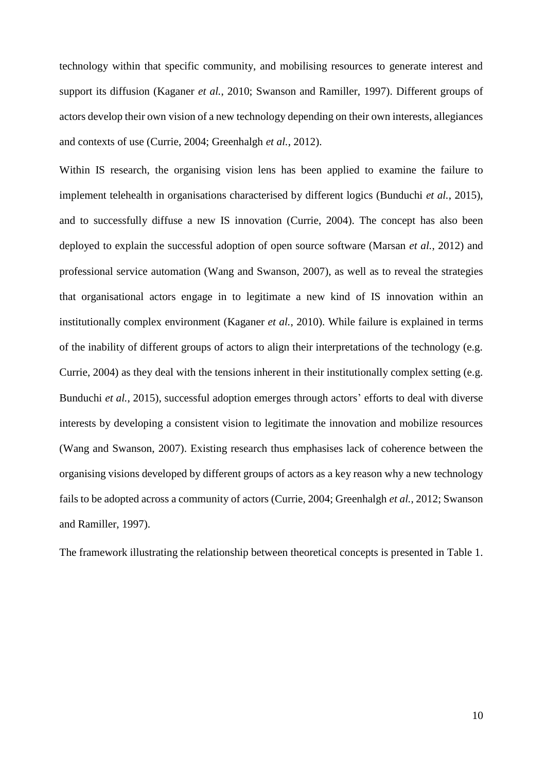technology within that specific community, and mobilising resources to generate interest and support its diffusion (Kaganer *et al.*, 2010; Swanson and Ramiller, 1997). Different groups of actors develop their own vision of a new technology depending on their own interests, allegiances and contexts of use (Currie, 2004; Greenhalgh *et al.*, 2012).

Within IS research, the organising vision lens has been applied to examine the failure to implement telehealth in organisations characterised by different logics (Bunduchi *et al.*, 2015), and to successfully diffuse a new IS innovation (Currie, 2004). The concept has also been deployed to explain the successful adoption of open source software (Marsan *et al.*, 2012) and professional service automation (Wang and Swanson, 2007), as well as to reveal the strategies that organisational actors engage in to legitimate a new kind of IS innovation within an institutionally complex environment (Kaganer *et al.*, 2010). While failure is explained in terms of the inability of different groups of actors to align their interpretations of the technology (e.g. Currie, 2004) as they deal with the tensions inherent in their institutionally complex setting (e.g. Bunduchi *et al.*, 2015), successful adoption emerges through actors' efforts to deal with diverse interests by developing a consistent vision to legitimate the innovation and mobilize resources (Wang and Swanson, 2007). Existing research thus emphasises lack of coherence between the organising visions developed by different groups of actors as a key reason why a new technology fails to be adopted across a community of actors (Currie, 2004; Greenhalgh *et al.*, 2012; Swanson and Ramiller, 1997).

The framework illustrating the relationship between theoretical concepts is presented in Table 1.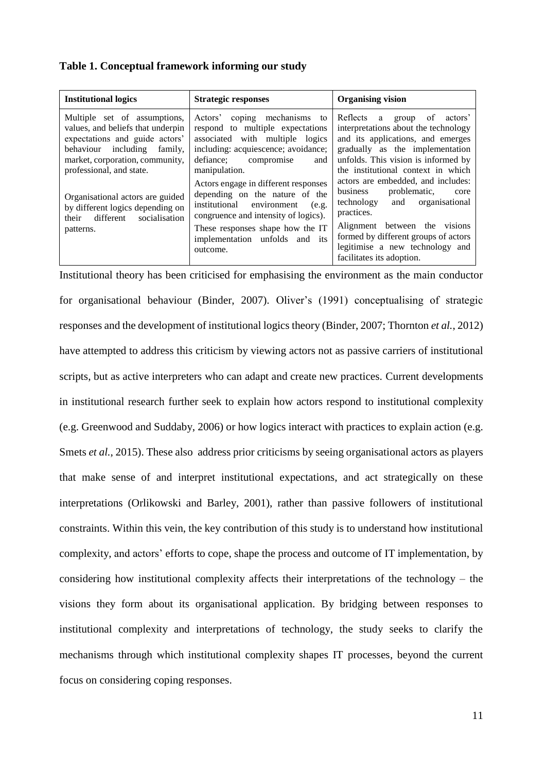#### **Table 1. Conceptual framework informing our study**

| <b>Institutional logics</b>                                                                                                                                                                          | <b>Strategic responses</b>                                                                                                                                                                    | <b>Organising vision</b>                                                                                                                                                                                                       |
|------------------------------------------------------------------------------------------------------------------------------------------------------------------------------------------------------|-----------------------------------------------------------------------------------------------------------------------------------------------------------------------------------------------|--------------------------------------------------------------------------------------------------------------------------------------------------------------------------------------------------------------------------------|
| Multiple set of assumptions,<br>values, and beliefs that underpin<br>expectations and guide actors'<br>behaviour including<br>family,<br>market, corporation, community,<br>professional, and state. | Actors'<br>coping mechanisms to<br>respond to multiple expectations<br>associated with multiple logics<br>including: acquiescence; avoidance;<br>defiance; compromise<br>and<br>manipulation. | Reflects a<br>group of<br>actors'<br>interpretations about the technology<br>and its applications, and emerges<br>gradually as the implementation<br>unfolds. This vision is informed by<br>the institutional context in which |
| Organisational actors are guided<br>by different logics depending on<br>different<br>socialisation<br>their                                                                                          | Actors engage in different responses<br>depending on the nature of the<br>institutional environment<br>(e.g.<br>congruence and intensity of logics).                                          | actors are embedded, and includes:<br>problematic,<br>business<br>core<br>and organisational<br>technology<br>practices.                                                                                                       |
| patterns.                                                                                                                                                                                            | These responses shape how the IT<br>implementation unfolds and its<br>outcome.                                                                                                                | Alignment between the visions<br>formed by different groups of actors<br>legitimise a new technology and<br>facilitates its adoption.                                                                                          |

Institutional theory has been criticised for emphasising the environment as the main conductor for organisational behaviour (Binder, 2007). Oliver's (1991) conceptualising of strategic responses and the development of institutional logics theory (Binder, 2007; Thornton *et al.*, 2012) have attempted to address this criticism by viewing actors not as passive carriers of institutional scripts, but as active interpreters who can adapt and create new practices. Current developments in institutional research further seek to explain how actors respond to institutional complexity (e.g. Greenwood and Suddaby, 2006) or how logics interact with practices to explain action (e.g. Smets *et al.*, 2015). These also address prior criticisms by seeing organisational actors as players that make sense of and interpret institutional expectations, and act strategically on these interpretations (Orlikowski and Barley, 2001), rather than passive followers of institutional constraints. Within this vein, the key contribution of this study is to understand how institutional complexity, and actors' efforts to cope, shape the process and outcome of IT implementation, by considering how institutional complexity affects their interpretations of the technology – the visions they form about its organisational application. By bridging between responses to institutional complexity and interpretations of technology, the study seeks to clarify the mechanisms through which institutional complexity shapes IT processes, beyond the current focus on considering coping responses.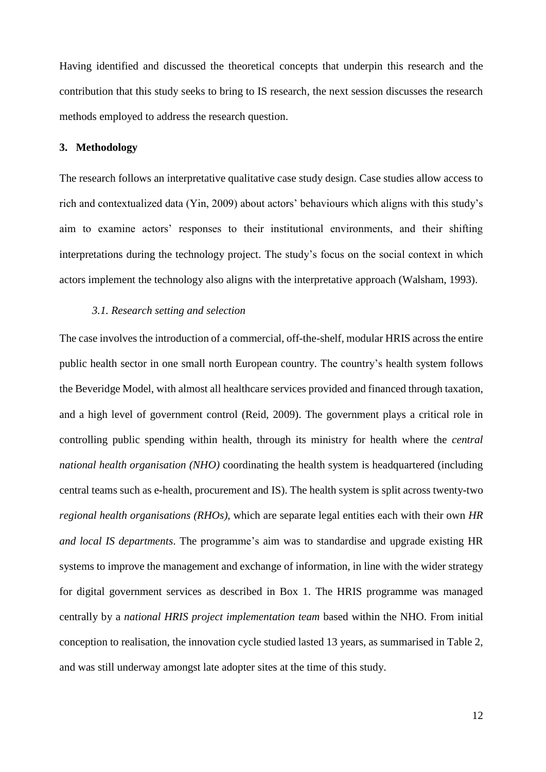Having identified and discussed the theoretical concepts that underpin this research and the contribution that this study seeks to bring to IS research, the next session discusses the research methods employed to address the research question.

#### **3. Methodology**

The research follows an interpretative qualitative case study design. Case studies allow access to rich and contextualized data (Yin, 2009) about actors' behaviours which aligns with this study's aim to examine actors' responses to their institutional environments, and their shifting interpretations during the technology project. The study's focus on the social context in which actors implement the technology also aligns with the interpretative approach (Walsham, 1993).

#### *3.1. Research setting and selection*

The case involves the introduction of a commercial, off-the-shelf, modular HRIS across the entire public health sector in one small north European country. The country's health system follows the Beveridge Model, with almost all healthcare services provided and financed through taxation, and a high level of government control (Reid, 2009). The government plays a critical role in controlling public spending within health, through its ministry for health where the *central national health organisation (NHO)* coordinating the health system is headquartered (including central teams such as e-health, procurement and IS). The health system is split across twenty-two *regional health organisations (RHOs)*, which are separate legal entities each with their own *HR and local IS departments*. The programme's aim was to standardise and upgrade existing HR systems to improve the management and exchange of information, in line with the wider strategy for digital government services as described in Box 1. The HRIS programme was managed centrally by a *national HRIS project implementation team* based within the NHO. From initial conception to realisation, the innovation cycle studied lasted 13 years, as summarised in Table 2, and was still underway amongst late adopter sites at the time of this study.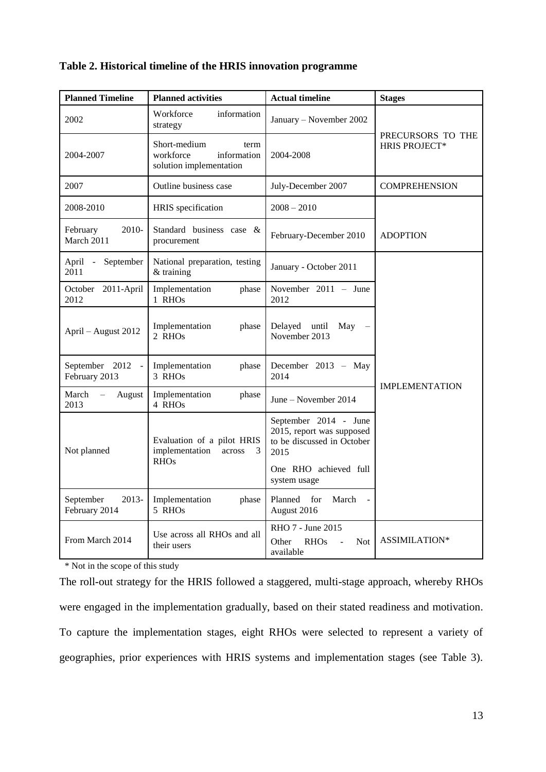| <b>Planned Timeline</b>             | <b>Planned activities</b>                                                   | <b>Actual timeline</b>                                                                                                            | <b>Stages</b>                             |
|-------------------------------------|-----------------------------------------------------------------------------|-----------------------------------------------------------------------------------------------------------------------------------|-------------------------------------------|
| 2002                                | Workforce<br>information<br>strategy                                        | January - November 2002                                                                                                           |                                           |
| 2004-2007                           | Short-medium<br>term<br>workforce<br>information<br>solution implementation | 2004-2008                                                                                                                         | PRECURSORS TO THE<br><b>HRIS PROJECT*</b> |
| 2007                                | Outline business case                                                       | July-December 2007                                                                                                                | <b>COMPREHENSION</b>                      |
| 2008-2010                           | HRIS specification                                                          | $2008 - 2010$                                                                                                                     |                                           |
| $2010-$<br>February<br>March 2011   | Standard business case &<br>procurement                                     | February-December 2010                                                                                                            | <b>ADOPTION</b>                           |
| April - September<br>2011           | National preparation, testing<br>$&$ training                               | January - October 2011                                                                                                            |                                           |
| October 2011-April<br>2012          | Implementation<br>phase<br>1 RHOs                                           | November 2011 - June<br>2012                                                                                                      |                                           |
| April - August 2012                 | Implementation<br>phase<br>2 RHOs                                           | Delayed until<br>$May -$<br>November 2013                                                                                         |                                           |
| September 2012<br>February 2013     | Implementation<br>phase<br>3 RHOs                                           | December 2013 - May<br>2014                                                                                                       |                                           |
| March<br>$\equiv$<br>August<br>2013 | Implementation<br>phase<br>4 RHOs                                           | June - November 2014                                                                                                              | <b>IMPLEMENTATION</b>                     |
| Not planned                         | Evaluation of a pilot HRIS<br>implementation<br>across<br>3<br><b>RHOs</b>  | September 2014 - June<br>2015, report was supposed<br>to be discussed in October<br>2015<br>One RHO achieved full<br>system usage |                                           |
| 2013-<br>September<br>February 2014 | Implementation<br>phase<br>5 RHOs                                           | Planned<br>for<br>March<br>$\bar{\phantom{a}}$<br>August 2016                                                                     |                                           |
| From March 2014                     | Use across all RHOs and all<br>their users                                  | RHO 7 - June 2015<br>Other<br><b>RHOs</b><br><b>Not</b><br>$\Box$<br>available                                                    | ASSIMILATION*                             |

**Table 2. Historical timeline of the HRIS innovation programme**

\* Not in the scope of this study

The roll-out strategy for the HRIS followed a staggered, multi-stage approach, whereby RHOs were engaged in the implementation gradually, based on their stated readiness and motivation. To capture the implementation stages, eight RHOs were selected to represent a variety of geographies, prior experiences with HRIS systems and implementation stages (see Table 3).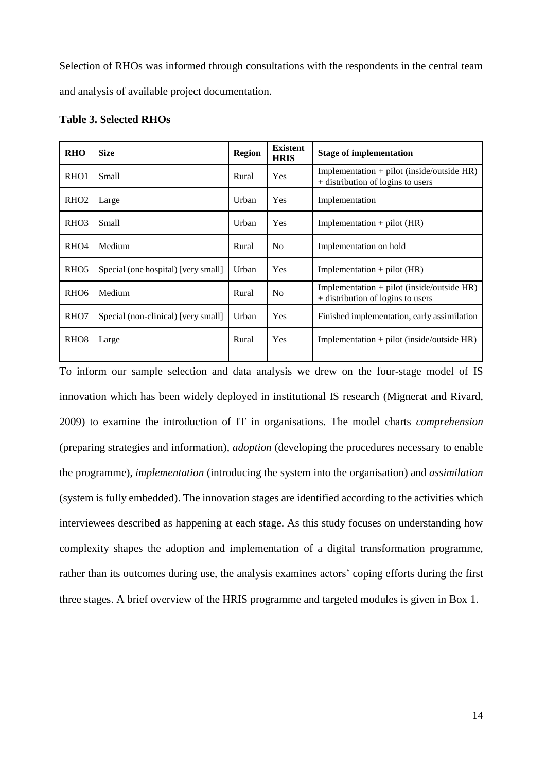Selection of RHOs was informed through consultations with the respondents in the central team and analysis of available project documentation.

| <b>RHO</b>       | <b>Size</b>                         | <b>Region</b> | <b>Existent</b><br><b>HRIS</b> | <b>Stage of implementation</b>                                                     |
|------------------|-------------------------------------|---------------|--------------------------------|------------------------------------------------------------------------------------|
| RHO <sub>1</sub> | Small                               | Rural         | <b>Yes</b>                     | Implementation + pilot (inside/outside $HR$ )<br>+ distribution of logins to users |
| RHO <sub>2</sub> | Large                               | Urban         | Yes                            | Implementation                                                                     |
| RHO <sub>3</sub> | Small                               | Urban         | Yes                            | Implementation + pilot $(HR)$                                                      |
| RHO <sub>4</sub> | Medium                              | Rural         | N <sub>0</sub>                 | Implementation on hold                                                             |
| RHO <sub>5</sub> | Special (one hospital) [very small] | Urban         | Yes                            | Implementation + pilot $(HR)$                                                      |
| RHO <sub>6</sub> | Medium                              | Rural         | N <sub>0</sub>                 | Implementation + pilot (inside/outside $HR$ )<br>+ distribution of logins to users |
| RHO7             | Special (non-clinical) [very small] | Urban         | Yes                            | Finished implementation, early assimilation                                        |
| RHO <sub>8</sub> | Large                               | Rural         | Yes                            | Implementation + pilot (inside/outside $HR$ )                                      |
|                  |                                     |               |                                |                                                                                    |

#### **Table 3. Selected RHOs**

To inform our sample selection and data analysis we drew on the four-stage model of IS innovation which has been widely deployed in institutional IS research (Mignerat and Rivard, 2009) to examine the introduction of IT in organisations. The model charts *comprehension*  (preparing strategies and information), *adoption* (developing the procedures necessary to enable the programme), *implementation* (introducing the system into the organisation) and *assimilation* (system is fully embedded). The innovation stages are identified according to the activities which interviewees described as happening at each stage. As this study focuses on understanding how complexity shapes the adoption and implementation of a digital transformation programme, rather than its outcomes during use, the analysis examines actors' coping efforts during the first three stages. A brief overview of the HRIS programme and targeted modules is given in Box 1.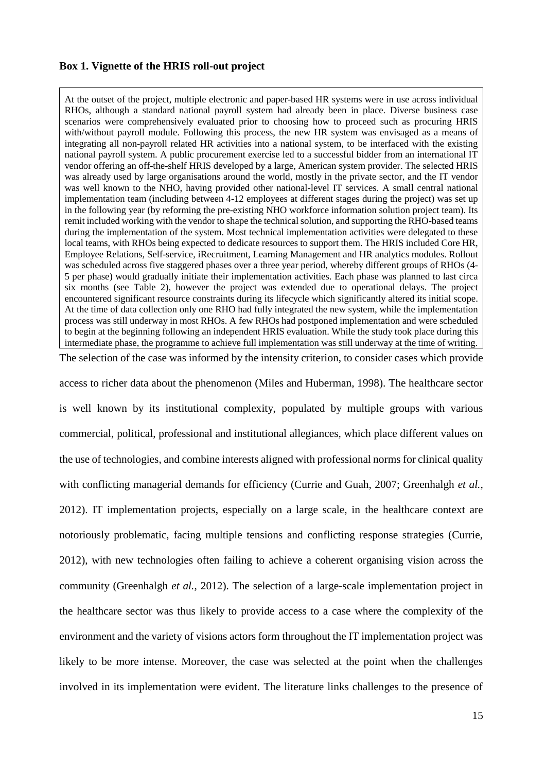#### **Box 1. Vignette of the HRIS roll-out project**

At the outset of the project, multiple electronic and paper-based HR systems were in use across individual RHOs, although a standard national payroll system had already been in place. Diverse business case scenarios were comprehensively evaluated prior to choosing how to proceed such as procuring HRIS with/without payroll module. Following this process, the new HR system was envisaged as a means of integrating all non-payroll related HR activities into a national system, to be interfaced with the existing national payroll system. A public procurement exercise led to a successful bidder from an international IT vendor offering an off-the-shelf HRIS developed by a large, American system provider. The selected HRIS was already used by large organisations around the world, mostly in the private sector, and the IT vendor was well known to the NHO, having provided other national-level IT services. A small central national implementation team (including between 4-12 employees at different stages during the project) was set up in the following year (by reforming the pre-existing NHO workforce information solution project team). Its remit included working with the vendor to shape the technical solution, and supporting the RHO-based teams during the implementation of the system. Most technical implementation activities were delegated to these local teams, with RHOs being expected to dedicate resources to support them. The HRIS included Core HR, Employee Relations, Self-service, iRecruitment, Learning Management and HR analytics modules. Rollout was scheduled across five staggered phases over a three year period, whereby different groups of RHOs (4- 5 per phase) would gradually initiate their implementation activities. Each phase was planned to last circa six months (see Table 2), however the project was extended due to operational delays. The project encountered significant resource constraints during its lifecycle which significantly altered its initial scope. At the time of data collection only one RHO had fully integrated the new system, while the implementation process was still underway in most RHOs. A few RHOs had postponed implementation and were scheduled to begin at the beginning following an independent HRIS evaluation. While the study took place during this intermediate phase, the programme to achieve full implementation was still underway at the time of writing.

The selection of the case was informed by the intensity criterion, to consider cases which provide

access to richer data about the phenomenon (Miles and Huberman, 1998). The healthcare sector is well known by its institutional complexity, populated by multiple groups with various commercial, political, professional and institutional allegiances, which place different values on the use of technologies, and combine interests aligned with professional norms for clinical quality with conflicting managerial demands for efficiency (Currie and Guah, 2007; Greenhalgh *et al.*, 2012). IT implementation projects, especially on a large scale, in the healthcare context are notoriously problematic, facing multiple tensions and conflicting response strategies (Currie, 2012), with new technologies often failing to achieve a coherent organising vision across the community (Greenhalgh *et al.*, 2012). The selection of a large-scale implementation project in the healthcare sector was thus likely to provide access to a case where the complexity of the environment and the variety of visions actors form throughout the IT implementation project was likely to be more intense. Moreover, the case was selected at the point when the challenges involved in its implementation were evident. The literature links challenges to the presence of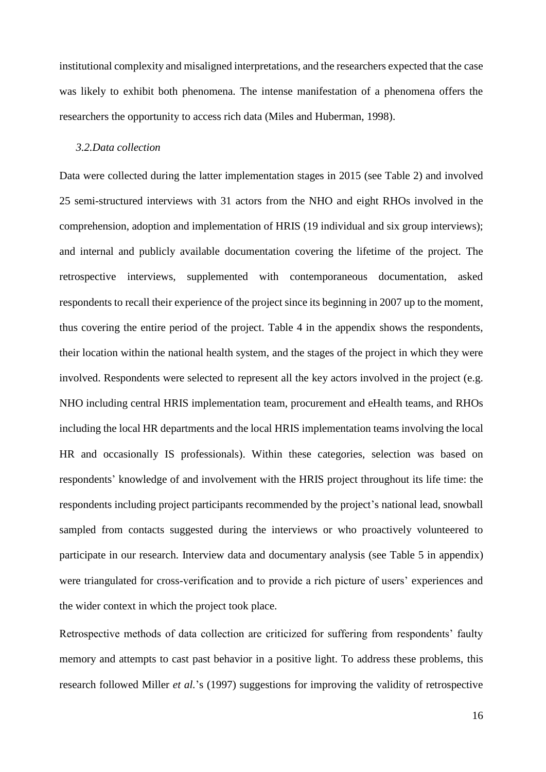institutional complexity and misaligned interpretations, and the researchers expected that the case was likely to exhibit both phenomena. The intense manifestation of a phenomena offers the researchers the opportunity to access rich data (Miles and Huberman, 1998).

#### *3.2.Data collection*

Data were collected during the latter implementation stages in 2015 (see Table 2) and involved 25 semi-structured interviews with 31 actors from the NHO and eight RHOs involved in the comprehension, adoption and implementation of HRIS (19 individual and six group interviews); and internal and publicly available documentation covering the lifetime of the project. The retrospective interviews, supplemented with contemporaneous documentation, asked respondents to recall their experience of the project since its beginning in 2007 up to the moment, thus covering the entire period of the project. Table 4 in the appendix shows the respondents, their location within the national health system, and the stages of the project in which they were involved. Respondents were selected to represent all the key actors involved in the project (e.g. NHO including central HRIS implementation team, procurement and eHealth teams, and RHOs including the local HR departments and the local HRIS implementation teams involving the local HR and occasionally IS professionals). Within these categories, selection was based on respondents' knowledge of and involvement with the HRIS project throughout its life time: the respondents including project participants recommended by the project's national lead, snowball sampled from contacts suggested during the interviews or who proactively volunteered to participate in our research. Interview data and documentary analysis (see Table 5 in appendix) were triangulated for cross-verification and to provide a rich picture of users' experiences and the wider context in which the project took place.

Retrospective methods of data collection are criticized for suffering from respondents' faulty memory and attempts to cast past behavior in a positive light. To address these problems, this research followed Miller *et al.*'s (1997) suggestions for improving the validity of retrospective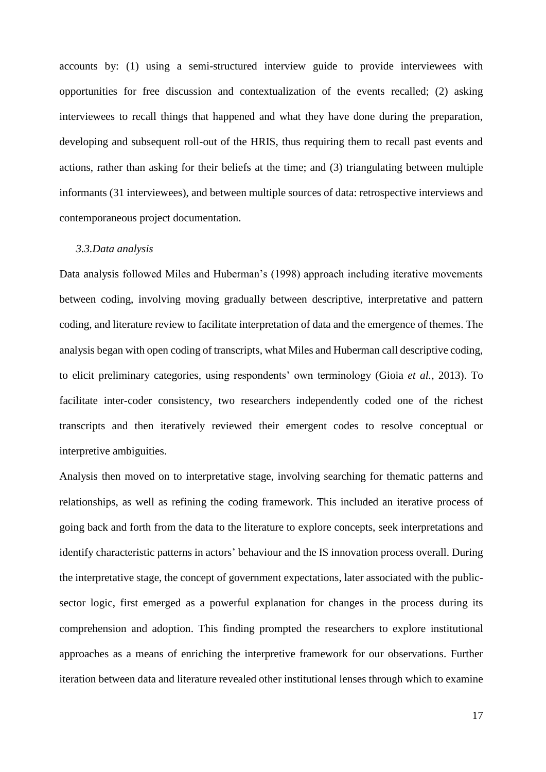accounts by: (1) using a semi-structured interview guide to provide interviewees with opportunities for free discussion and contextualization of the events recalled; (2) asking interviewees to recall things that happened and what they have done during the preparation, developing and subsequent roll-out of the HRIS, thus requiring them to recall past events and actions, rather than asking for their beliefs at the time; and (3) triangulating between multiple informants (31 interviewees), and between multiple sources of data: retrospective interviews and contemporaneous project documentation.

#### *3.3.Data analysis*

Data analysis followed Miles and Huberman's (1998) approach including iterative movements between coding, involving moving gradually between descriptive, interpretative and pattern coding, and literature review to facilitate interpretation of data and the emergence of themes. The analysis began with open coding of transcripts, what Miles and Huberman call descriptive coding, to elicit preliminary categories, using respondents' own terminology (Gioia *et al.*, 2013). To facilitate inter-coder consistency, two researchers independently coded one of the richest transcripts and then iteratively reviewed their emergent codes to resolve conceptual or interpretive ambiguities.

Analysis then moved on to interpretative stage*,* involving searching for thematic patterns and relationships, as well as refining the coding framework. This included an iterative process of going back and forth from the data to the literature to explore concepts, seek interpretations and identify characteristic patterns in actors' behaviour and the IS innovation process overall. During the interpretative stage, the concept of government expectations, later associated with the publicsector logic, first emerged as a powerful explanation for changes in the process during its comprehension and adoption. This finding prompted the researchers to explore institutional approaches as a means of enriching the interpretive framework for our observations. Further iteration between data and literature revealed other institutional lenses through which to examine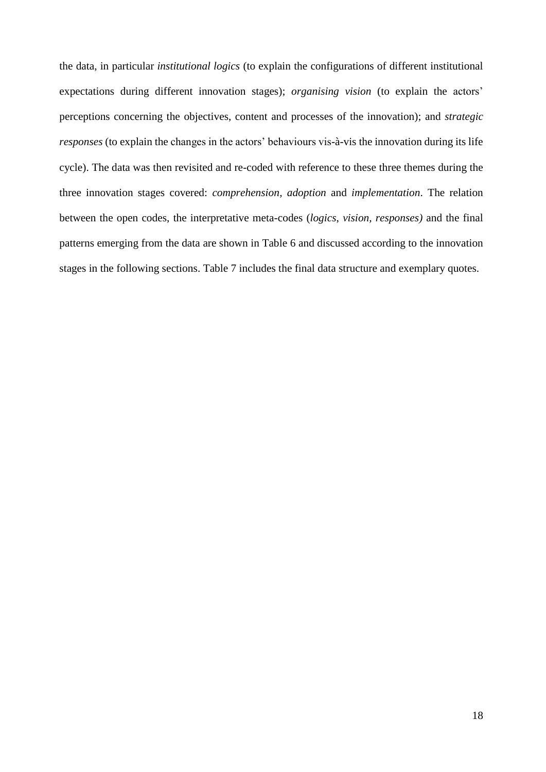the data, in particular *institutional logics* (to explain the configurations of different institutional expectations during different innovation stages); *organising vision* (to explain the actors' perceptions concerning the objectives, content and processes of the innovation); and *strategic responses* (to explain the changes in the actors' behaviours vis-à-vis the innovation during its life cycle). The data was then revisited and re-coded with reference to these three themes during the three innovation stages covered: *comprehension, adoption* and *implementation*. The relation between the open codes, the interpretative meta-codes (*logics*, *vision, responses)* and the final patterns emerging from the data are shown in Table 6 and discussed according to the innovation stages in the following sections. Table 7 includes the final data structure and exemplary quotes.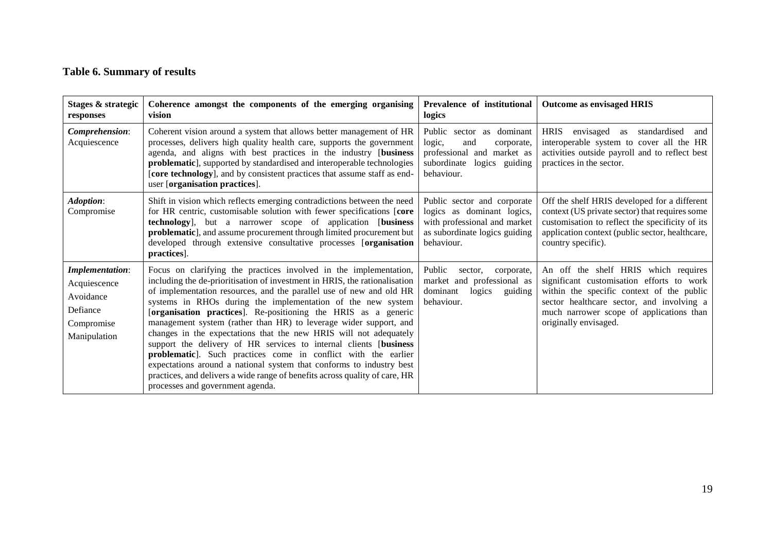### **Table 6. Summary of results**

| Stages & strategic<br>responses                                                               | Coherence amongst the components of the emerging organising<br>vision                                                                                                                                                                                                                                                                                                                                                                                                                                                                                                                                                                                                                                                                                                                                                               | Prevalence of institutional<br>logics                                                                                                    | <b>Outcome as envisaged HRIS</b>                                                                                                                                                                                                                 |
|-----------------------------------------------------------------------------------------------|-------------------------------------------------------------------------------------------------------------------------------------------------------------------------------------------------------------------------------------------------------------------------------------------------------------------------------------------------------------------------------------------------------------------------------------------------------------------------------------------------------------------------------------------------------------------------------------------------------------------------------------------------------------------------------------------------------------------------------------------------------------------------------------------------------------------------------------|------------------------------------------------------------------------------------------------------------------------------------------|--------------------------------------------------------------------------------------------------------------------------------------------------------------------------------------------------------------------------------------------------|
| Comprehension:<br>Acquiescence                                                                | Coherent vision around a system that allows better management of HR<br>processes, delivers high quality health care, supports the government<br>agenda, and aligns with best practices in the industry [business<br>problematic], supported by standardised and interoperable technologies<br>[core technology], and by consistent practices that assume staff as end-<br>user [organisation practices].                                                                                                                                                                                                                                                                                                                                                                                                                            | Public sector as dominant<br>logic,<br>and<br>corporate,<br>professional and market as<br>subordinate logics guiding<br>behaviour.       | <b>HRIS</b><br>envisaged as<br>standardised<br>and<br>interoperable system to cover all the HR<br>activities outside payroll and to reflect best<br>practices in the sector.                                                                     |
| Adoption:<br>Compromise                                                                       | Shift in vision which reflects emerging contradictions between the need<br>for HR centric, customisable solution with fewer specifications [core<br>technology], but a narrower scope of application [business<br>problematic], and assume procurement through limited procurement but<br>developed through extensive consultative processes [organisation<br>practices].                                                                                                                                                                                                                                                                                                                                                                                                                                                           | Public sector and corporate<br>logics as dominant logics,<br>with professional and market<br>as subordinate logics guiding<br>behaviour. | Off the shelf HRIS developed for a different<br>context (US private sector) that requires some<br>customisation to reflect the specificity of its<br>application context (public sector, healthcare,<br>country specific).                       |
| <b>Implementation:</b><br>Acquiescence<br>Avoidance<br>Defiance<br>Compromise<br>Manipulation | Focus on clarifying the practices involved in the implementation,<br>including the de-prioritisation of investment in HRIS, the rationalisation<br>of implementation resources, and the parallel use of new and old HR<br>systems in RHOs during the implementation of the new system<br>[organisation practices]. Re-positioning the HRIS as a generic<br>management system (rather than HR) to leverage wider support, and<br>changes in the expectations that the new HRIS will not adequately<br>support the delivery of HR services to internal clients [business<br>problematic]. Such practices come in conflict with the earlier<br>expectations around a national system that conforms to industry best<br>practices, and delivers a wide range of benefits across quality of care, HR<br>processes and government agenda. | Public<br>sector,<br>corporate,<br>market and professional as<br>logics<br>guiding<br>dominant<br>behaviour.                             | An off the shelf HRIS which requires<br>significant customisation efforts to work<br>within the specific context of the public<br>sector healthcare sector, and involving a<br>much narrower scope of applications than<br>originally envisaged. |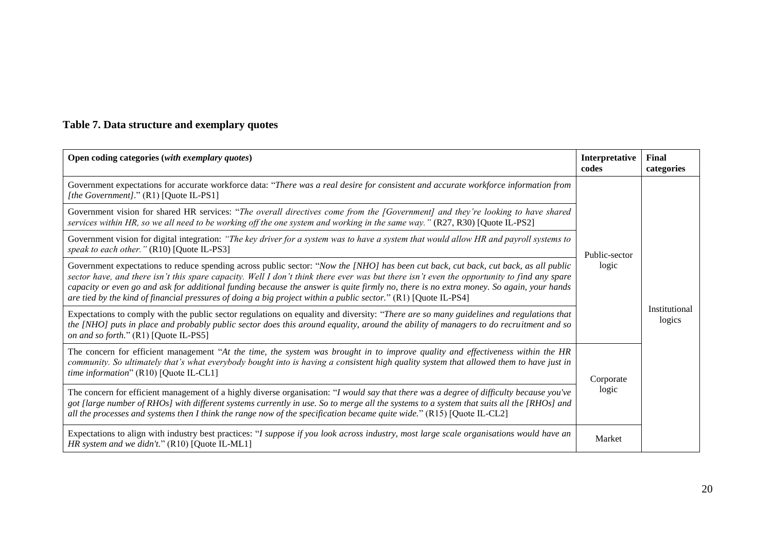### **Table 7. Data structure and exemplary quotes**

| Open coding categories (with exemplary quotes)                                                                                                                                                                                                                                                                                                                                                                                                                                                                                                                                                                                                                                                                                                                                                                                                                                                                                                                                                                                                                                                                                                                                                                 |           | Final<br>categories     |
|----------------------------------------------------------------------------------------------------------------------------------------------------------------------------------------------------------------------------------------------------------------------------------------------------------------------------------------------------------------------------------------------------------------------------------------------------------------------------------------------------------------------------------------------------------------------------------------------------------------------------------------------------------------------------------------------------------------------------------------------------------------------------------------------------------------------------------------------------------------------------------------------------------------------------------------------------------------------------------------------------------------------------------------------------------------------------------------------------------------------------------------------------------------------------------------------------------------|-----------|-------------------------|
| Government expectations for accurate workforce data: "There was a real desire for consistent and accurate workforce information from<br>[the Government]." (R1) [Quote IL-PS1]<br>Government vision for shared HR services: "The overall directives come from the [Government] and they're looking to have shared<br>services within HR, so we all need to be working off the one system and working in the same way." (R27, R30) [Quote IL-PS2]<br>Government vision for digital integration: "The key driver for a system was to have a system that would allow HR and payroll systems to<br>speak to each other." (R10) [Quote IL-PS3]<br>Public-sector<br>Government expectations to reduce spending across public sector: "Now the [NHO] has been cut back, cut back, cut back, as all public<br>sector have, and there isn't this spare capacity. Well I don't think there ever was but there isn't even the opportunity to find any spare<br>capacity or even go and ask for additional funding because the answer is quite firmly no, there is no extra money. So again, your hands<br>are tied by the kind of financial pressures of doing a big project within a public sector." (R1) [Quote IL-PS4] |           |                         |
|                                                                                                                                                                                                                                                                                                                                                                                                                                                                                                                                                                                                                                                                                                                                                                                                                                                                                                                                                                                                                                                                                                                                                                                                                |           |                         |
|                                                                                                                                                                                                                                                                                                                                                                                                                                                                                                                                                                                                                                                                                                                                                                                                                                                                                                                                                                                                                                                                                                                                                                                                                |           |                         |
|                                                                                                                                                                                                                                                                                                                                                                                                                                                                                                                                                                                                                                                                                                                                                                                                                                                                                                                                                                                                                                                                                                                                                                                                                |           |                         |
| Expectations to comply with the public sector regulations on equality and diversity: "There are so many guidelines and regulations that<br>the [NHO] puts in place and probably public sector does this around equality, around the ability of managers to do recruitment and so<br>on and so forth." (R1) [Quote IL-PS5]                                                                                                                                                                                                                                                                                                                                                                                                                                                                                                                                                                                                                                                                                                                                                                                                                                                                                      |           | Institutional<br>logics |
| The concern for efficient management "At the time, the system was brought in to improve quality and effectiveness within the HR<br>community. So ultimately that's what everybody bought into is having a consistent high quality system that allowed them to have just in<br>time information" (R10) [Quote IL-CL1]                                                                                                                                                                                                                                                                                                                                                                                                                                                                                                                                                                                                                                                                                                                                                                                                                                                                                           | Corporate |                         |
| The concern for efficient management of a highly diverse organisation: "I would say that there was a degree of difficulty because you've<br>got [large number of RHOs] with different systems currently in use. So to merge all the systems to a system that suits all the [RHOs] and<br>all the processes and systems then I think the range now of the specification became quite wide." $(R15)$ [Quote IL-CL2]                                                                                                                                                                                                                                                                                                                                                                                                                                                                                                                                                                                                                                                                                                                                                                                              |           |                         |
| Expectations to align with industry best practices: "I suppose if you look across industry, most large scale organisations would have an<br>HR system and we didn't." (R10) [Quote IL-ML1]                                                                                                                                                                                                                                                                                                                                                                                                                                                                                                                                                                                                                                                                                                                                                                                                                                                                                                                                                                                                                     |           |                         |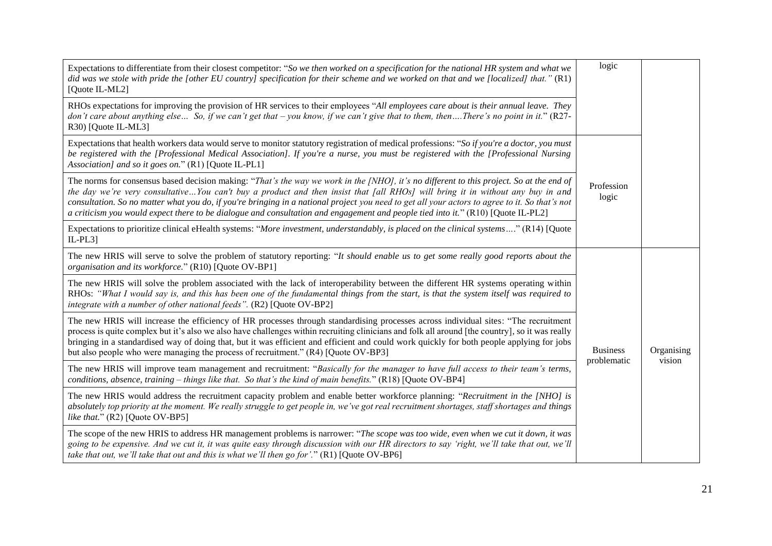| Expectations to differentiate from their closest competitor: "So we then worked on a specification for the national HR system and what we<br>did was we stole with pride the [other EU country] specification for their scheme and we worked on that and we [localized] that." (R1)<br>[Quote IL-ML2]                                                                                                                                                                                                                                                            | logic               |                      |
|------------------------------------------------------------------------------------------------------------------------------------------------------------------------------------------------------------------------------------------------------------------------------------------------------------------------------------------------------------------------------------------------------------------------------------------------------------------------------------------------------------------------------------------------------------------|---------------------|----------------------|
| RHOs expectations for improving the provision of HR services to their employees "All employees care about is their annual leave. They<br>don't care about anything else So, if we can't get that $-you$ know, if we can't give that to them, thenThere's no point in it." (R27-<br>R30) [Quote IL-ML3]                                                                                                                                                                                                                                                           |                     |                      |
| Expectations that health workers data would serve to monitor statutory registration of medical professions: "So if you're a doctor, you must<br>be registered with the [Professional Medical Association]. If you're a nurse, you must be registered with the [Professional Nursing<br>Association] and so it goes on." (R1) [Quote IL-PL1]                                                                                                                                                                                                                      |                     |                      |
| The norms for consensus based decision making: "That's the way we work in the [NHO], it's no different to this project. So at the end of<br>the day we're very consultativeYou can't buy a product and then insist that [all RHOs] will bring it in without any buy in and<br>consultation. So no matter what you do, if you're bringing in a national project you need to get all your actors to agree to it. So that's not<br>a criticism you would expect there to be dialogue and consultation and engagement and people tied into it." (R10) [Quote IL-PL2] | Profession<br>logic |                      |
| Expectations to prioritize clinical eHealth systems: "More investment, understandably, is placed on the clinical systems" (R14) [Quote<br>$IL-PL3$ ]                                                                                                                                                                                                                                                                                                                                                                                                             |                     |                      |
| The new HRIS will serve to solve the problem of statutory reporting: "It should enable us to get some really good reports about the<br>organisation and its workforce." (R10) [Quote OV-BP1]                                                                                                                                                                                                                                                                                                                                                                     |                     |                      |
| The new HRIS will solve the problem associated with the lack of interoperability between the different HR systems operating within<br>RHOs: "What I would say is, and this has been one of the fundamental things from the start, is that the system itself was required to<br>integrate with a number of other national feeds". (R2) [Quote OV-BP2]                                                                                                                                                                                                             |                     |                      |
| The new HRIS will increase the efficiency of HR processes through standardising processes across individual sites: "The recruitment<br>process is quite complex but it's also we also have challenges within recruiting clinicians and folk all around [the country], so it was really<br>bringing in a standardised way of doing that, but it was efficient and efficient and could work quickly for both people applying for jobs<br>but also people who were managing the process of recruitment." (R4) [Quote OV-BP3]                                        | <b>Business</b>     | Organising<br>vision |
| The new HRIS will improve team management and recruitment: "Basically for the manager to have full access to their team's terms,<br>conditions, absence, training – things like that. So that's the kind of main benefits." (R18) [Quote OV-BP4]                                                                                                                                                                                                                                                                                                                 | problematic         |                      |
| The new HRIS would address the recruitment capacity problem and enable better workforce planning: "Recruitment in the [NHO] is<br>absolutely top priority at the moment. We really struggle to get people in, we've got real recruitment shortages, staff shortages and things<br>like that." (R2) [Quote OV-BP5]                                                                                                                                                                                                                                                |                     |                      |
| The scope of the new HRIS to address HR management problems is narrower: "The scope was too wide, even when we cut it down, it was<br>going to be expensive. And we cut it, it was quite easy through discussion with our HR directors to say 'right, we'll take that out, we'll<br>take that out, we'll take that out and this is what we'll then go for'." $(R1)$ [Quote OV-BP6]                                                                                                                                                                               |                     |                      |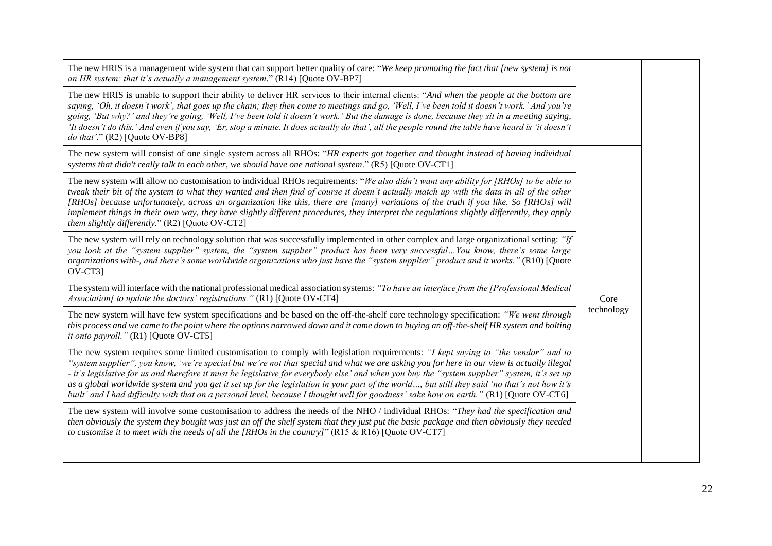| The new HRIS is a management wide system that can support better quality of care: "We keep promoting the fact that [new system] is not<br>an HR system; that it's actually a management system." (R14) [Quote OV-BP7]                                                                                                                                                                                                                                                                                                                                                                                                                                                                                                        |            |
|------------------------------------------------------------------------------------------------------------------------------------------------------------------------------------------------------------------------------------------------------------------------------------------------------------------------------------------------------------------------------------------------------------------------------------------------------------------------------------------------------------------------------------------------------------------------------------------------------------------------------------------------------------------------------------------------------------------------------|------------|
| The new HRIS is unable to support their ability to deliver HR services to their internal clients: "And when the people at the bottom are<br>saying, 'Oh, it doesn't work', that goes up the chain; they then come to meetings and go, 'Well, I've been told it doesn't work.' And you're<br>going, 'But why?' and they're going, 'Well, I've been told it doesn't work.' But the damage is done, because they sit in a meeting saying,<br>'It doesn't do this.' And even if you say, 'Er, stop a minute. It does actually do that', all the people round the table have heard is 'it doesn't<br>do that'." (R2) [Quote OV-BP8]                                                                                               |            |
| The new system will consist of one single system across all RHOs: "HR experts got together and thought instead of having individual<br>systems that didn't really talk to each other, we should have one national system." (R5) [Quote OV-CT1]                                                                                                                                                                                                                                                                                                                                                                                                                                                                               |            |
| The new system will allow no customisation to individual RHOs requirements: "We also didn't want any ability for [RHOs] to be able to<br>tweak their bit of the system to what they wanted and then find of course it doesn't actually match up with the data in all of the other<br>[RHOs] because unfortunately, across an organization like this, there are [many] variations of the truth if you like. So [RHOs] will<br>implement things in their own way, they have slightly different procedures, they interpret the regulations slightly differently, they apply<br>them slightly differently." (R2) [Quote OV-CT2]                                                                                                  |            |
| The new system will rely on technology solution that was successfully implemented in other complex and large organizational setting: "If<br>you look at the "system supplier" system, the "system supplier" product has been very successfulYou know, there's some large<br>organizations with-, and there's some worldwide organizations who just have the "system supplier" product and it works." (R10) [Quote<br>OV-CT3]                                                                                                                                                                                                                                                                                                 |            |
| The system will interface with the national professional medical association systems: "To have an interface from the [Professional Medical<br>Association] to update the doctors' registrations." (R1) [Quote OV-CT4]                                                                                                                                                                                                                                                                                                                                                                                                                                                                                                        | Core       |
| The new system will have few system specifications and be based on the off-the-shelf core technology specification: "We went through<br>this process and we came to the point where the options narrowed down and it came down to buying an off-the-shelf HR system and bolting<br>it onto payroll." (R1) [Quote OV-CT5]                                                                                                                                                                                                                                                                                                                                                                                                     | technology |
| The new system requires some limited customisation to comply with legislation requirements: "I kept saying to "the vendor" and to<br>"system supplier", you know, 'we're special but we're not that special and what we are asking you for here in our view is actually illegal<br>- it's legislative for us and therefore it must be legislative for everybody else' and when you buy the "system supplier" system, it's set up<br>as a global worldwide system and you get it set up for the legislation in your part of the world, but still they said 'no that's not how it's<br>built' and I had difficulty with that on a personal level, because I thought well for goodness' sake how on earth." (R1) [Quote OV-CT6] |            |
| The new system will involve some customisation to address the needs of the NHO / individual RHOs: "They had the specification and<br>then obviously the system they bought was just an off the shelf system that they just put the basic package and then obviously they needed<br>to customise it to meet with the needs of all the [RHOs in the country]" (R15 & R16) [Quote OV-CT7]                                                                                                                                                                                                                                                                                                                                       |            |
|                                                                                                                                                                                                                                                                                                                                                                                                                                                                                                                                                                                                                                                                                                                              |            |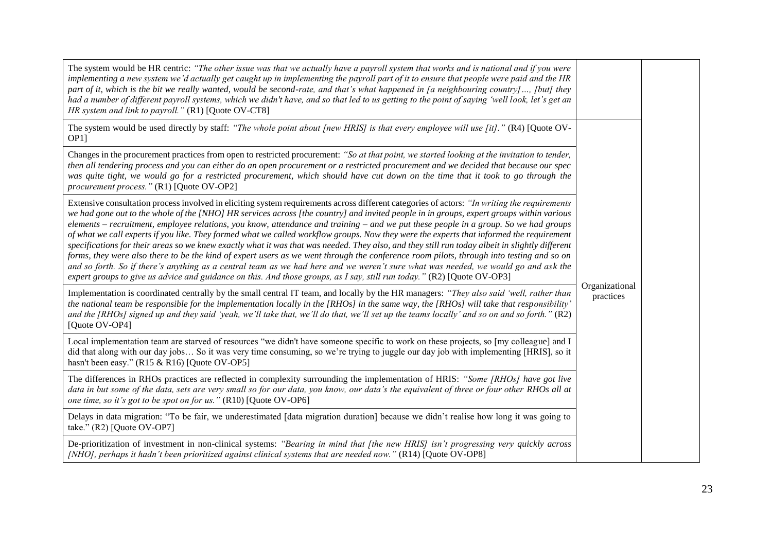| The system would be HR centric: "The other issue was that we actually have a payroll system that works and is national and if you were<br>implementing a new system we'd actually get caught up in implementing the payroll part of it to ensure that people were paid and the HR<br>part of it, which is the bit we really wanted, would be second-rate, and that's what happened in [a neighbouring country], [but] they<br>had a number of different payroll systems, which we didn't have, and so that led to us getting to the point of saying 'well look, let's get an<br>HR system and link to payroll." (R1) [Quote OV-CT8]                                                                                                                                                                                                                                                                                                                                                                                                                                                                                                          |                             |
|----------------------------------------------------------------------------------------------------------------------------------------------------------------------------------------------------------------------------------------------------------------------------------------------------------------------------------------------------------------------------------------------------------------------------------------------------------------------------------------------------------------------------------------------------------------------------------------------------------------------------------------------------------------------------------------------------------------------------------------------------------------------------------------------------------------------------------------------------------------------------------------------------------------------------------------------------------------------------------------------------------------------------------------------------------------------------------------------------------------------------------------------|-----------------------------|
| The system would be used directly by staff: "The whole point about [new HRIS] is that every employee will use [it]." (R4) [Quote OV-<br>$OP1$ ]                                                                                                                                                                                                                                                                                                                                                                                                                                                                                                                                                                                                                                                                                                                                                                                                                                                                                                                                                                                              |                             |
| Changes in the procurement practices from open to restricted procurement: "So at that point, we started looking at the invitation to tender,<br>then all tendering process and you can either do an open procurement or a restricted procurement and we decided that because our spec<br>was quite tight, we would go for a restricted procurement, which should have cut down on the time that it took to go through the<br>procurement process." (R1) [Quote OV-OP2]                                                                                                                                                                                                                                                                                                                                                                                                                                                                                                                                                                                                                                                                       |                             |
| Extensive consultation process involved in eliciting system requirements across different categories of actors: "In writing the requirements<br>we had gone out to the whole of the [NHO] HR services across [the country] and invited people in in groups, expert groups within various<br>elements – recruitment, employee relations, you know, attendance and training – and we put these people in a group. So we had groups<br>of what we call experts if you like. They formed what we called workflow groups. Now they were the experts that informed the requirement<br>specifications for their areas so we knew exactly what it was that was needed. They also, and they still run today albeit in slightly different<br>forms, they were also there to be the kind of expert users as we went through the conference room pilots, through into testing and so on<br>and so forth. So if there's anything as a central team as we had here and we weren't sure what was needed, we would go and ask the<br>expert groups to give us advice and guidance on this. And those groups, as I say, still run today." (R2) [Quote OV-OP3] |                             |
| Implementation is coordinated centrally by the small central IT team, and locally by the HR managers: "They also said 'well, rather than<br>the national team be responsible for the implementation locally in the [RHOs] in the same way, the [RHOs] will take that responsibility'<br>and the [RHOs] signed up and they said 'yeah, we'll take that, we'll do that, we'll set up the teams locally' and so on and so forth." (R2)<br>[Quote OV-OP4]                                                                                                                                                                                                                                                                                                                                                                                                                                                                                                                                                                                                                                                                                        | Organizational<br>practices |
| Local implementation team are starved of resources "we didn't have someone specific to work on these projects, so [my colleague] and I<br>did that along with our day jobs So it was very time consuming, so we're trying to juggle our day job with implementing [HRIS], so it<br>hasn't been easy." $(R15 & R16)$ [Quote OV-OP5]                                                                                                                                                                                                                                                                                                                                                                                                                                                                                                                                                                                                                                                                                                                                                                                                           |                             |
| The differences in RHOs practices are reflected in complexity surrounding the implementation of HRIS: "Some [RHOs] have got live<br>data in but some of the data, sets are very small so for our data, you know, our data's the equivalent of three or four other RHOs all at<br>one time, so it's got to be spot on for us." (R10) [Quote OV-OP6]                                                                                                                                                                                                                                                                                                                                                                                                                                                                                                                                                                                                                                                                                                                                                                                           |                             |
| Delays in data migration: "To be fair, we underestimated [data migration duration] because we didn't realise how long it was going to<br>take." (R2) [Quote OV-OP7]                                                                                                                                                                                                                                                                                                                                                                                                                                                                                                                                                                                                                                                                                                                                                                                                                                                                                                                                                                          |                             |
| De-prioritization of investment in non-clinical systems: "Bearing in mind that [the new HRIS] isn't progressing very quickly across<br>[NHO], perhaps it hadn't been prioritized against clinical systems that are needed now." (R14) [Quote OV-OP8]                                                                                                                                                                                                                                                                                                                                                                                                                                                                                                                                                                                                                                                                                                                                                                                                                                                                                         |                             |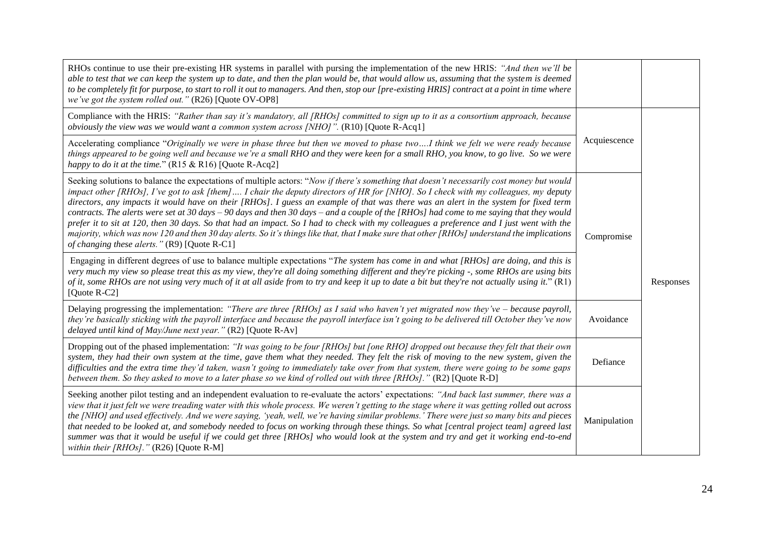| RHOs continue to use their pre-existing HR systems in parallel with pursing the implementation of the new HRIS: "And then we'll be<br>able to test that we can keep the system up to date, and then the plan would be, that would allow us, assuming that the system is deemed<br>to be completely fit for purpose, to start to roll it out to managers. And then, stop our [pre-existing HRIS] contract at a point in time where<br>we've got the system rolled out." (R26) [Quote OV-OP8]                                                                                                                                                                                                                                                                                                                                                                                                                     |              |           |
|-----------------------------------------------------------------------------------------------------------------------------------------------------------------------------------------------------------------------------------------------------------------------------------------------------------------------------------------------------------------------------------------------------------------------------------------------------------------------------------------------------------------------------------------------------------------------------------------------------------------------------------------------------------------------------------------------------------------------------------------------------------------------------------------------------------------------------------------------------------------------------------------------------------------|--------------|-----------|
| Compliance with the HRIS: "Rather than say it's mandatory, all [RHOs] committed to sign up to it as a consortium approach, because<br>obviously the view was we would want a common system across [NHO]". (R10) [Quote R-Acq1]                                                                                                                                                                                                                                                                                                                                                                                                                                                                                                                                                                                                                                                                                  |              |           |
| Accelerating compliance "Originally we were in phase three but then we moved to phase twoI think we felt we were ready because<br>things appeared to be going well and because we're a small RHO and they were keen for a small RHO, you know, to go live. So we were<br>happy to do it at the time." (R15 & R16) [Quote R-Acq2]                                                                                                                                                                                                                                                                                                                                                                                                                                                                                                                                                                                | Acquiescence |           |
| Seeking solutions to balance the expectations of multiple actors: "Now if there's something that doesn't necessarily cost money but would<br>impact other [RHOs], I've got to ask [them]  I chair the deputy directors of HR for [NHO]. So I check with my colleagues, my deputy<br>directors, any impacts it would have on their [RHOs]. I guess an example of that was there was an alert in the system for fixed term<br>contracts. The alerts were set at 30 days - 90 days and then 30 days - and a couple of the [RHOs] had come to me saying that they would<br>prefer it to sit at 120, then 30 days. So that had an impact. So I had to check with my colleagues a preference and I just went with the<br>majority, which was now 120 and then 30 day alerts. So it's things like that, that I make sure that other [RHOs] understand the implications<br>of changing these alerts." (R9) [Quote R-C1] | Compromise   |           |
| Engaging in different degrees of use to balance multiple expectations "The system has come in and what [RHOs] are doing, and this is<br>very much my view so please treat this as my view, they're all doing something different and they're picking -, some RHOs are using bits<br>of it, some RHOs are not using very much of it at all aside from to try and keep it up to date a bit but they're not actually using it." (R1)<br>[Quote R-C2]                                                                                                                                                                                                                                                                                                                                                                                                                                                               |              | Responses |
| Delaying progressing the implementation: "There are three [RHOs] as I said who haven't yet migrated now they've – because payroll,<br>they're basically sticking with the payroll interface and because the payroll interface isn't going to be delivered till October they've now<br>delayed until kind of May/June next year." (R2) [Quote R-Av]                                                                                                                                                                                                                                                                                                                                                                                                                                                                                                                                                              | Avoidance    |           |
| Dropping out of the phased implementation: "It was going to be four [RHOs] but [one RHO] dropped out because they felt that their own<br>system, they had their own system at the time, gave them what they needed. They felt the risk of moving to the new system, given the<br>difficulties and the extra time they'd taken, wasn't going to immediately take over from that system, there were going to be some gaps<br>between them. So they asked to move to a later phase so we kind of rolled out with three [RHOs]." (R2) [Quote R-D]                                                                                                                                                                                                                                                                                                                                                                   | Defiance     |           |
| Seeking another pilot testing and an independent evaluation to re-evaluate the actors' expectations: "And back last summer, there was a<br>view that it just felt we were treading water with this whole process. We weren't getting to the stage where it was getting rolled out across<br>the [NHO] and used effectively. And we were saying, 'yeah, well, we're having similar problems.' There were just so many bits and pieces<br>that needed to be looked at, and somebody needed to focus on working through these things. So what [central project team] agreed last<br>summer was that it would be useful if we could get three [RHOs] who would look at the system and try and get it working end-to-end<br>within their [ $RHOs$ ]. " (R26) [Quote R-M]                                                                                                                                             | Manipulation |           |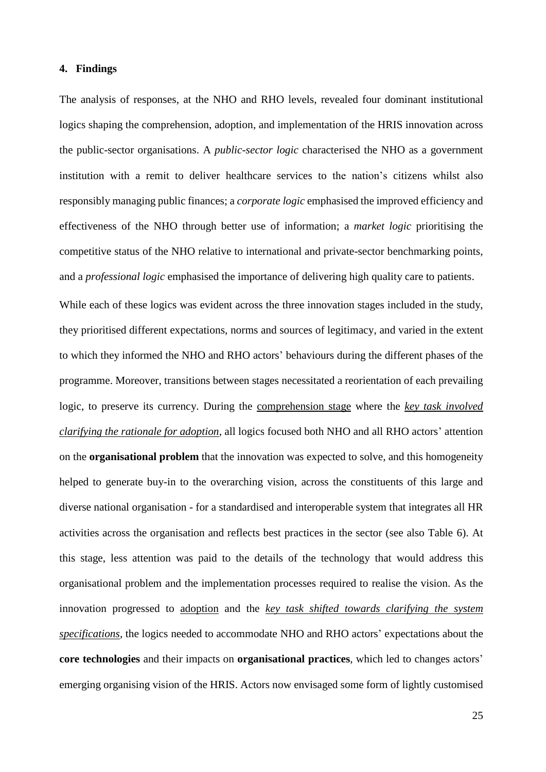#### **4. Findings**

The analysis of responses, at the NHO and RHO levels, revealed four dominant institutional logics shaping the comprehension, adoption, and implementation of the HRIS innovation across the public-sector organisations. A *public-sector logic* characterised the NHO as a government institution with a remit to deliver healthcare services to the nation's citizens whilst also responsibly managing public finances; a *corporate logic* emphasised the improved efficiency and effectiveness of the NHO through better use of information; a *market logic* prioritising the competitive status of the NHO relative to international and private-sector benchmarking points, and a *professional logic* emphasised the importance of delivering high quality care to patients.

While each of these logics was evident across the three innovation stages included in the study, they prioritised different expectations, norms and sources of legitimacy, and varied in the extent to which they informed the NHO and RHO actors' behaviours during the different phases of the programme. Moreover, transitions between stages necessitated a reorientation of each prevailing logic, to preserve its currency. During the comprehension stage where the *key task involved clarifying the rationale for adoption*, all logics focused both NHO and all RHO actors' attention on the **organisational problem** that the innovation was expected to solve, and this homogeneity helped to generate buy-in to the overarching vision, across the constituents of this large and diverse national organisation - for a standardised and interoperable system that integrates all HR activities across the organisation and reflects best practices in the sector (see also Table 6). At this stage, less attention was paid to the details of the technology that would address this organisational problem and the implementation processes required to realise the vision. As the innovation progressed to adoption and the *key task shifted towards clarifying the system specifications*, the logics needed to accommodate NHO and RHO actors' expectations about the **core technologies** and their impacts on **organisational practices**, which led to changes actors' emerging organising vision of the HRIS. Actors now envisaged some form of lightly customised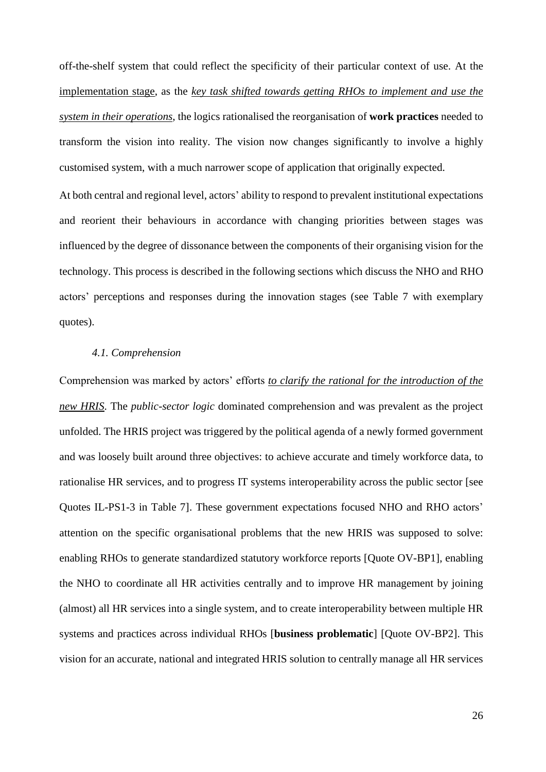off-the-shelf system that could reflect the specificity of their particular context of use. At the implementation stage, as the *key task shifted towards getting RHOs to implement and use the system in their operations*, the logics rationalised the reorganisation of **work practices** needed to transform the vision into reality. The vision now changes significantly to involve a highly customised system, with a much narrower scope of application that originally expected.

At both central and regional level, actors' ability to respond to prevalent institutional expectations and reorient their behaviours in accordance with changing priorities between stages was influenced by the degree of dissonance between the components of their organising vision for the technology. This process is described in the following sections which discuss the NHO and RHO actors' perceptions and responses during the innovation stages (see Table 7 with exemplary quotes).

#### *4.1. Comprehension*

Comprehension was marked by actors' efforts *to clarify the rational for the introduction of the new HRIS*. The *public-sector logic* dominated comprehension and was prevalent as the project unfolded. The HRIS project was triggered by the political agenda of a newly formed government and was loosely built around three objectives: to achieve accurate and timely workforce data, to rationalise HR services, and to progress IT systems interoperability across the public sector [see Quotes IL-PS1-3 in Table 7]. These government expectations focused NHO and RHO actors' attention on the specific organisational problems that the new HRIS was supposed to solve: enabling RHOs to generate standardized statutory workforce reports [Quote OV-BP1], enabling the NHO to coordinate all HR activities centrally and to improve HR management by joining (almost) all HR services into a single system, and to create interoperability between multiple HR systems and practices across individual RHOs [**business problematic**] [Quote OV-BP2]. This vision for an accurate, national and integrated HRIS solution to centrally manage all HR services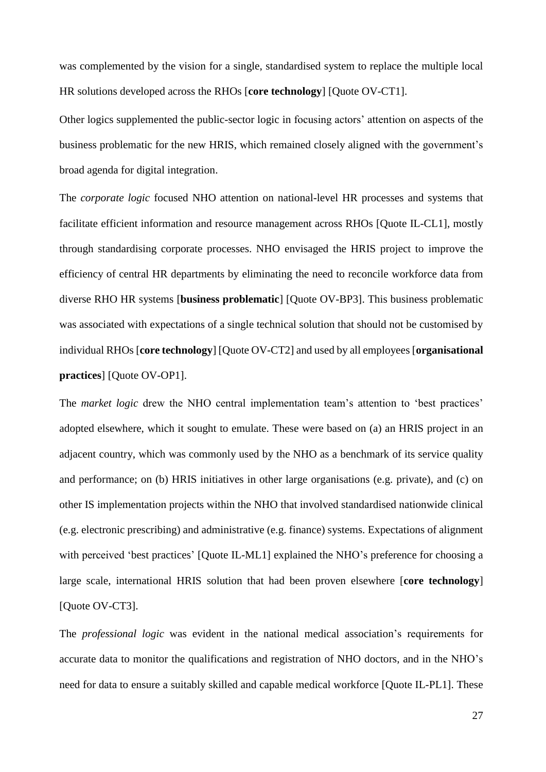was complemented by the vision for a single, standardised system to replace the multiple local HR solutions developed across the RHOs [**core technology**] [Quote OV-CT1].

Other logics supplemented the public-sector logic in focusing actors' attention on aspects of the business problematic for the new HRIS, which remained closely aligned with the government's broad agenda for digital integration.

The *corporate logic* focused NHO attention on national-level HR processes and systems that facilitate efficient information and resource management across RHOs [Quote IL-CL1], mostly through standardising corporate processes. NHO envisaged the HRIS project to improve the efficiency of central HR departments by eliminating the need to reconcile workforce data from diverse RHO HR systems [**business problematic**] [Quote OV-BP3]. This business problematic was associated with expectations of a single technical solution that should not be customised by individual RHOs [**core technology**] [Quote OV-CT2] and used by all employees [**organisational practices**] [Quote OV-OP1].

The *market logic* drew the NHO central implementation team's attention to 'best practices' adopted elsewhere, which it sought to emulate. These were based on (a) an HRIS project in an adjacent country, which was commonly used by the NHO as a benchmark of its service quality and performance; on (b) HRIS initiatives in other large organisations (e.g. private), and (c) on other IS implementation projects within the NHO that involved standardised nationwide clinical (e.g. electronic prescribing) and administrative (e.g. finance) systems. Expectations of alignment with perceived 'best practices' [Quote IL-ML1] explained the NHO's preference for choosing a large scale, international HRIS solution that had been proven elsewhere [**core technology**] [Quote OV-CT3].

The *professional logic* was evident in the national medical association's requirements for accurate data to monitor the qualifications and registration of NHO doctors, and in the NHO's need for data to ensure a suitably skilled and capable medical workforce [Quote IL-PL1]. These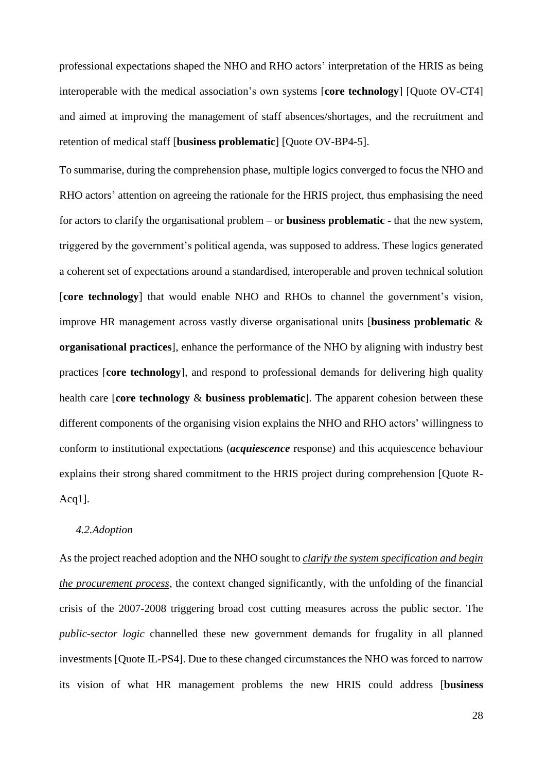professional expectations shaped the NHO and RHO actors' interpretation of the HRIS as being interoperable with the medical association's own systems [**core technology**] [Quote OV-CT4] and aimed at improving the management of staff absences/shortages, and the recruitment and retention of medical staff [**business problematic**] [Quote OV-BP4-5].

To summarise, during the comprehension phase, multiple logics converged to focus the NHO and RHO actors' attention on agreeing the rationale for the HRIS project, thus emphasising the need for actors to clarify the organisational problem – or **business problematic -** that the new system, triggered by the government's political agenda, was supposed to address. These logics generated a coherent set of expectations around a standardised, interoperable and proven technical solution [**core technology**] that would enable NHO and RHOs to channel the government's vision, improve HR management across vastly diverse organisational units [**business problematic** & **organisational practices**], enhance the performance of the NHO by aligning with industry best practices [**core technology**], and respond to professional demands for delivering high quality health care [**core technology** & **business problematic**]. The apparent cohesion between these different components of the organising vision explains the NHO and RHO actors' willingness to conform to institutional expectations (*acquiescence* response) and this acquiescence behaviour explains their strong shared commitment to the HRIS project during comprehension [Quote R-Acq<sub>1</sub>l.

#### *4.2.Adoption*

As the project reached adoption and the NHO sought to *clarify the system specification and begin the procurement process*, the context changed significantly, with the unfolding of the financial crisis of the 2007-2008 triggering broad cost cutting measures across the public sector. The *public-sector logic* channelled these new government demands for frugality in all planned investments [Quote IL-PS4]. Due to these changed circumstances the NHO was forced to narrow its vision of what HR management problems the new HRIS could address [**business**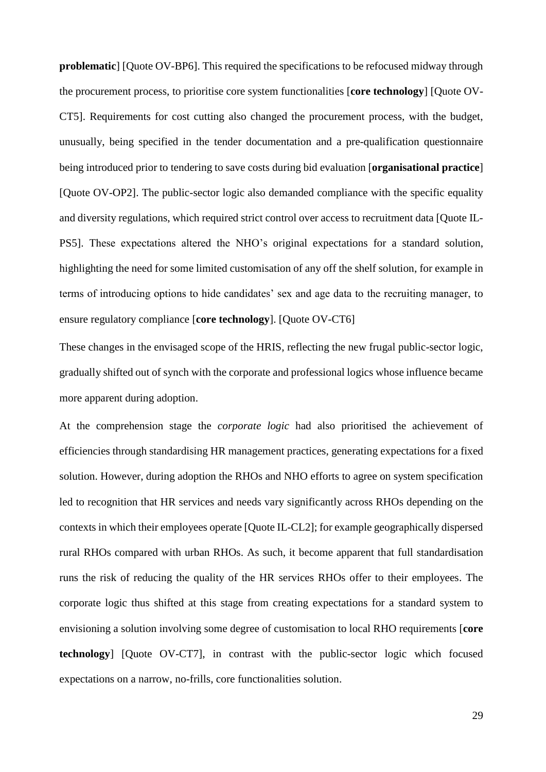**problematic** [Quote QV-BP6]. This required the specifications to be refocused midway through the procurement process, to prioritise core system functionalities [**core technology**] [Quote OV-CT5]. Requirements for cost cutting also changed the procurement process, with the budget, unusually, being specified in the tender documentation and a pre-qualification questionnaire being introduced prior to tendering to save costs during bid evaluation [**organisational practice**] [Quote OV-OP2]. The public-sector logic also demanded compliance with the specific equality and diversity regulations, which required strict control over access to recruitment data [Quote IL-PS5]. These expectations altered the NHO's original expectations for a standard solution, highlighting the need for some limited customisation of any off the shelf solution, for example in terms of introducing options to hide candidates' sex and age data to the recruiting manager, to ensure regulatory compliance [**core technology**]. [Quote OV-CT6]

These changes in the envisaged scope of the HRIS, reflecting the new frugal public-sector logic, gradually shifted out of synch with the corporate and professional logics whose influence became more apparent during adoption.

At the comprehension stage the *corporate logic* had also prioritised the achievement of efficiencies through standardising HR management practices, generating expectations for a fixed solution. However, during adoption the RHOs and NHO efforts to agree on system specification led to recognition that HR services and needs vary significantly across RHOs depending on the contexts in which their employees operate [Quote IL-CL2]; for example geographically dispersed rural RHOs compared with urban RHOs. As such, it become apparent that full standardisation runs the risk of reducing the quality of the HR services RHOs offer to their employees. The corporate logic thus shifted at this stage from creating expectations for a standard system to envisioning a solution involving some degree of customisation to local RHO requirements [**core technology**] [Quote OV-CT7], in contrast with the public-sector logic which focused expectations on a narrow, no-frills, core functionalities solution.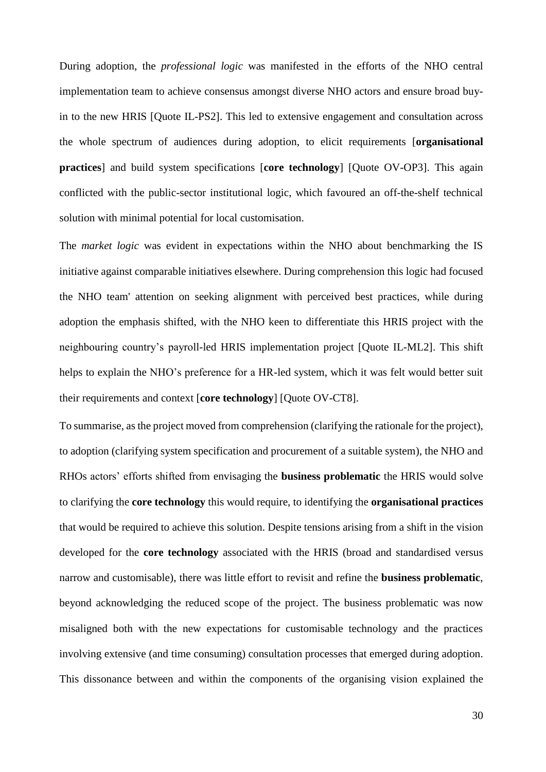During adoption, the *professional logic* was manifested in the efforts of the NHO central implementation team to achieve consensus amongst diverse NHO actors and ensure broad buyin to the new HRIS [Quote IL-PS2]. This led to extensive engagement and consultation across the whole spectrum of audiences during adoption, to elicit requirements [**organisational practices**] and build system specifications [**core technology**] [Quote OV-OP3]. This again conflicted with the public-sector institutional logic, which favoured an off-the-shelf technical solution with minimal potential for local customisation.

The *market logic* was evident in expectations within the NHO about benchmarking the IS initiative against comparable initiatives elsewhere. During comprehension this logic had focused the NHO team' attention on seeking alignment with perceived best practices, while during adoption the emphasis shifted, with the NHO keen to differentiate this HRIS project with the neighbouring country's payroll-led HRIS implementation project [Quote IL-ML2]. This shift helps to explain the NHO's preference for a HR-led system, which it was felt would better suit their requirements and context [**core technology**] [Quote OV-CT8].

To summarise, as the project moved from comprehension (clarifying the rationale for the project), to adoption (clarifying system specification and procurement of a suitable system), the NHO and RHOs actors' efforts shifted from envisaging the **business problematic** the HRIS would solve to clarifying the **core technology** this would require, to identifying the **organisational practices** that would be required to achieve this solution. Despite tensions arising from a shift in the vision developed for the **core technology** associated with the HRIS (broad and standardised versus narrow and customisable), there was little effort to revisit and refine the **business problematic**, beyond acknowledging the reduced scope of the project. The business problematic was now misaligned both with the new expectations for customisable technology and the practices involving extensive (and time consuming) consultation processes that emerged during adoption. This dissonance between and within the components of the organising vision explained the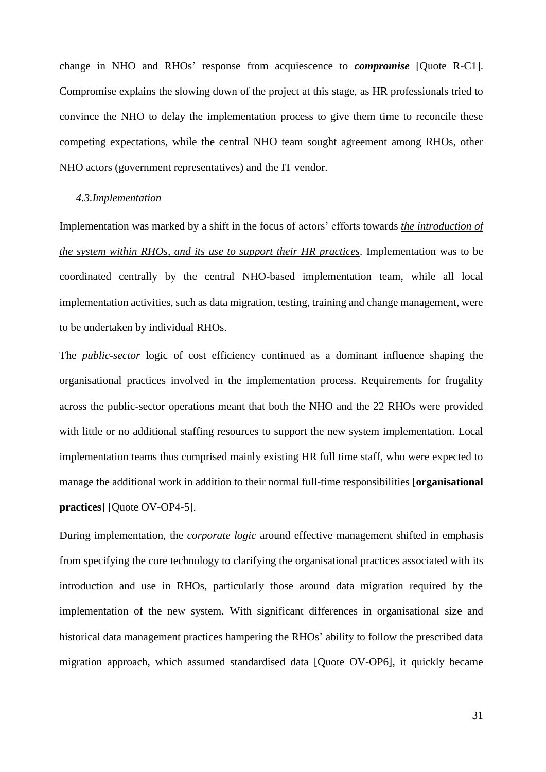change in NHO and RHOs' response from acquiescence to *compromise* [Quote R-C1]. Compromise explains the slowing down of the project at this stage, as HR professionals tried to convince the NHO to delay the implementation process to give them time to reconcile these competing expectations, while the central NHO team sought agreement among RHOs, other NHO actors (government representatives) and the IT vendor.

#### *4.3.Implementation*

Implementation was marked by a shift in the focus of actors' efforts towards *the introduction of the system within RHOs, and its use to support their HR practices*. Implementation was to be coordinated centrally by the central NHO-based implementation team, while all local implementation activities, such as data migration, testing, training and change management, were to be undertaken by individual RHOs.

The *public-sector* logic of cost efficiency continued as a dominant influence shaping the organisational practices involved in the implementation process. Requirements for frugality across the public-sector operations meant that both the NHO and the 22 RHOs were provided with little or no additional staffing resources to support the new system implementation. Local implementation teams thus comprised mainly existing HR full time staff, who were expected to manage the additional work in addition to their normal full-time responsibilities [**organisational practices**] [Quote OV-OP4-5].

During implementation, the *corporate logic* around effective management shifted in emphasis from specifying the core technology to clarifying the organisational practices associated with its introduction and use in RHOs, particularly those around data migration required by the implementation of the new system. With significant differences in organisational size and historical data management practices hampering the RHOs' ability to follow the prescribed data migration approach, which assumed standardised data [Quote OV-OP6], it quickly became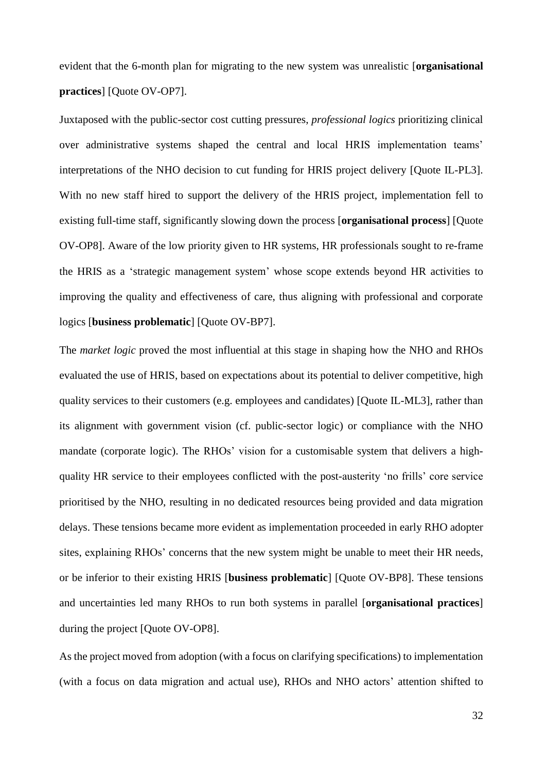evident that the 6-month plan for migrating to the new system was unrealistic [**organisational practices**] [Quote OV-OP7].

Juxtaposed with the public-sector cost cutting pressures, *professional logics* prioritizing clinical over administrative systems shaped the central and local HRIS implementation teams' interpretations of the NHO decision to cut funding for HRIS project delivery [Quote IL-PL3]. With no new staff hired to support the delivery of the HRIS project, implementation fell to existing full-time staff, significantly slowing down the process [**organisational process**] [Quote OV-OP8]. Aware of the low priority given to HR systems, HR professionals sought to re-frame the HRIS as a 'strategic management system' whose scope extends beyond HR activities to improving the quality and effectiveness of care, thus aligning with professional and corporate logics [**business problematic**] [Quote OV-BP7].

The *market logic* proved the most influential at this stage in shaping how the NHO and RHOs evaluated the use of HRIS, based on expectations about its potential to deliver competitive, high quality services to their customers (e.g. employees and candidates) [Quote IL-ML3], rather than its alignment with government vision (cf. public-sector logic) or compliance with the NHO mandate (corporate logic). The RHOs' vision for a customisable system that delivers a highquality HR service to their employees conflicted with the post-austerity 'no frills' core service prioritised by the NHO, resulting in no dedicated resources being provided and data migration delays. These tensions became more evident as implementation proceeded in early RHO adopter sites, explaining RHOs' concerns that the new system might be unable to meet their HR needs, or be inferior to their existing HRIS [**business problematic**] [Quote OV-BP8]. These tensions and uncertainties led many RHOs to run both systems in parallel [**organisational practices**] during the project [Quote OV-OP8].

As the project moved from adoption (with a focus on clarifying specifications) to implementation (with a focus on data migration and actual use), RHOs and NHO actors' attention shifted to

32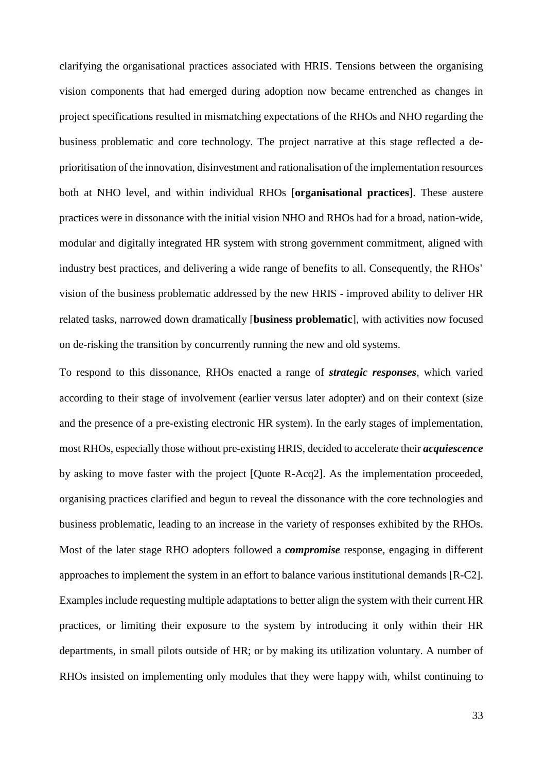clarifying the organisational practices associated with HRIS. Tensions between the organising vision components that had emerged during adoption now became entrenched as changes in project specifications resulted in mismatching expectations of the RHOs and NHO regarding the business problematic and core technology. The project narrative at this stage reflected a deprioritisation of the innovation, disinvestment and rationalisation of the implementation resources both at NHO level, and within individual RHOs [**organisational practices**]. These austere practices were in dissonance with the initial vision NHO and RHOs had for a broad, nation-wide, modular and digitally integrated HR system with strong government commitment, aligned with industry best practices, and delivering a wide range of benefits to all. Consequently, the RHOs' vision of the business problematic addressed by the new HRIS - improved ability to deliver HR related tasks, narrowed down dramatically [**business problematic**], with activities now focused on de-risking the transition by concurrently running the new and old systems.

To respond to this dissonance, RHOs enacted a range of *strategic responses*, which varied according to their stage of involvement (earlier versus later adopter) and on their context (size and the presence of a pre-existing electronic HR system). In the early stages of implementation, most RHOs, especially those without pre-existing HRIS, decided to accelerate their *acquiescence* by asking to move faster with the project [Quote R-Acq2]. As the implementation proceeded, organising practices clarified and begun to reveal the dissonance with the core technologies and business problematic, leading to an increase in the variety of responses exhibited by the RHOs. Most of the later stage RHO adopters followed a *compromise* response, engaging in different approaches to implement the system in an effort to balance various institutional demands [R-C2]. Examples include requesting multiple adaptations to better align the system with their current HR practices, or limiting their exposure to the system by introducing it only within their HR departments, in small pilots outside of HR; or by making its utilization voluntary. A number of RHOs insisted on implementing only modules that they were happy with, whilst continuing to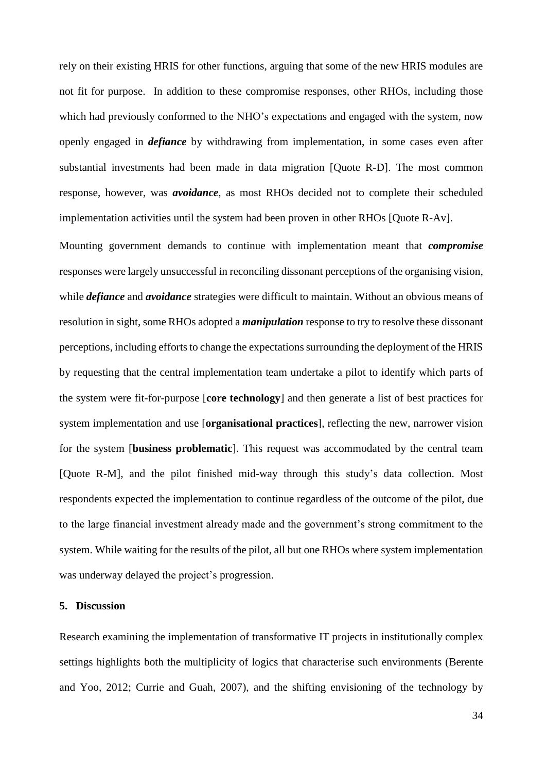rely on their existing HRIS for other functions, arguing that some of the new HRIS modules are not fit for purpose. In addition to these compromise responses, other RHOs, including those which had previously conformed to the NHO's expectations and engaged with the system, now openly engaged in *defiance* by withdrawing from implementation, in some cases even after substantial investments had been made in data migration [Quote R-D]. The most common response, however, was *avoidance,* as most RHOs decided not to complete their scheduled implementation activities until the system had been proven in other RHOs [Quote R-Av].

Mounting government demands to continue with implementation meant that *compromise* responses were largely unsuccessful in reconciling dissonant perceptions of the organising vision, while *defiance* and *avoidance* strategies were difficult to maintain. Without an obvious means of resolution in sight, some RHOs adopted a *manipulation* response to try to resolve these dissonant perceptions, including efforts to change the expectations surrounding the deployment of the HRIS by requesting that the central implementation team undertake a pilot to identify which parts of the system were fit-for-purpose [**core technology**] and then generate a list of best practices for system implementation and use [**organisational practices**], reflecting the new, narrower vision for the system [**business problematic**]. This request was accommodated by the central team [Quote R-M], and the pilot finished mid-way through this study's data collection. Most respondents expected the implementation to continue regardless of the outcome of the pilot, due to the large financial investment already made and the government's strong commitment to the system. While waiting for the results of the pilot, all but one RHOs where system implementation was underway delayed the project's progression.

#### **5. Discussion**

Research examining the implementation of transformative IT projects in institutionally complex settings highlights both the multiplicity of logics that characterise such environments (Berente and Yoo, 2012; Currie and Guah, 2007), and the shifting envisioning of the technology by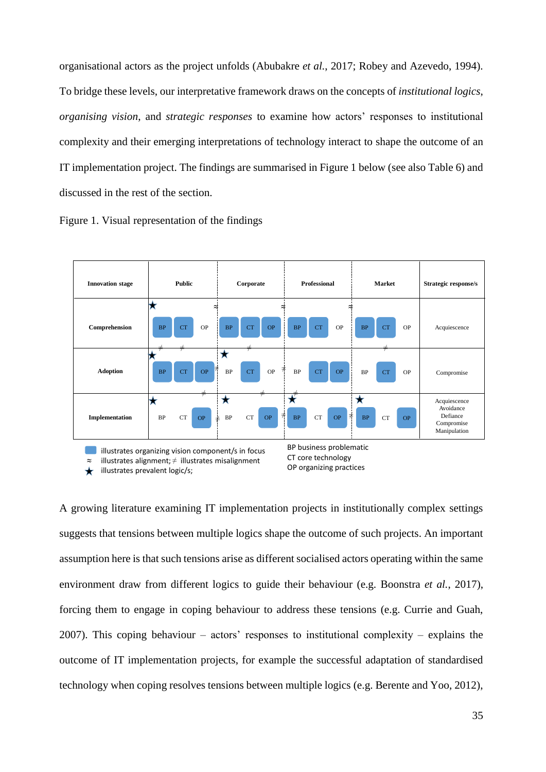organisational actors as the project unfolds (Abubakre *et al.*, 2017; Robey and Azevedo, 1994). To bridge these levels, our interpretative framework draws on the concepts of *institutional logics*, *organising vision*, and *strategic responses* to examine how actors' responses to institutional complexity and their emerging interpretations of technology interact to shape the outcome of an IT implementation project. The findings are summarised in Figure 1 below (see also Table 6) and discussed in the rest of the section.



Figure 1. Visual representation of the findings

A growing literature examining IT implementation projects in institutionally complex settings suggests that tensions between multiple logics shape the outcome of such projects. An important assumption here is that such tensions arise as different socialised actors operating within the same environment draw from different logics to guide their behaviour (e.g. Boonstra *et al.*, 2017), forcing them to engage in coping behaviour to address these tensions (e.g. Currie and Guah, 2007). This coping behaviour – actors' responses to institutional complexity – explains the outcome of IT implementation projects, for example the successful adaptation of standardised technology when coping resolves tensions between multiple logics (e.g. Berente and Yoo, 2012),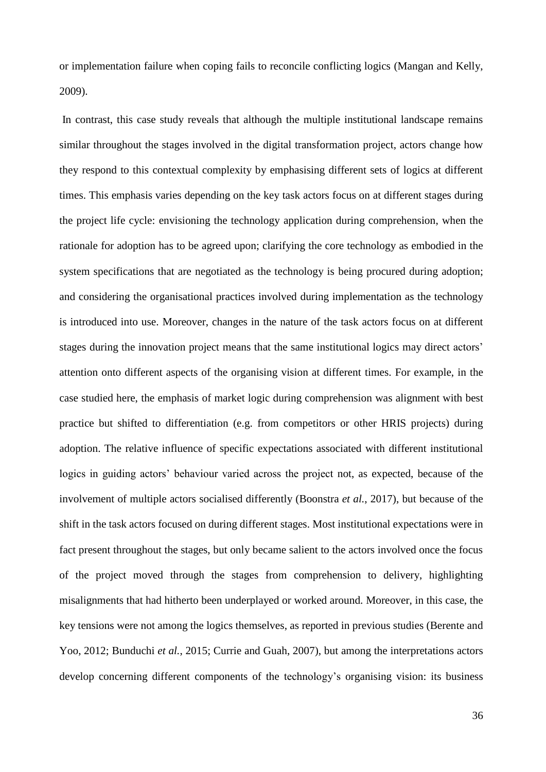or implementation failure when coping fails to reconcile conflicting logics (Mangan and Kelly, 2009).

In contrast, this case study reveals that although the multiple institutional landscape remains similar throughout the stages involved in the digital transformation project, actors change how they respond to this contextual complexity by emphasising different sets of logics at different times. This emphasis varies depending on the key task actors focus on at different stages during the project life cycle: envisioning the technology application during comprehension, when the rationale for adoption has to be agreed upon; clarifying the core technology as embodied in the system specifications that are negotiated as the technology is being procured during adoption; and considering the organisational practices involved during implementation as the technology is introduced into use. Moreover, changes in the nature of the task actors focus on at different stages during the innovation project means that the same institutional logics may direct actors' attention onto different aspects of the organising vision at different times. For example, in the case studied here, the emphasis of market logic during comprehension was alignment with best practice but shifted to differentiation (e.g. from competitors or other HRIS projects) during adoption. The relative influence of specific expectations associated with different institutional logics in guiding actors' behaviour varied across the project not, as expected, because of the involvement of multiple actors socialised differently (Boonstra *et al.*, 2017), but because of the shift in the task actors focused on during different stages. Most institutional expectations were in fact present throughout the stages, but only became salient to the actors involved once the focus of the project moved through the stages from comprehension to delivery, highlighting misalignments that had hitherto been underplayed or worked around. Moreover, in this case, the key tensions were not among the logics themselves, as reported in previous studies (Berente and Yoo, 2012; Bunduchi *et al.*, 2015; Currie and Guah, 2007), but among the interpretations actors develop concerning different components of the technology's organising vision: its business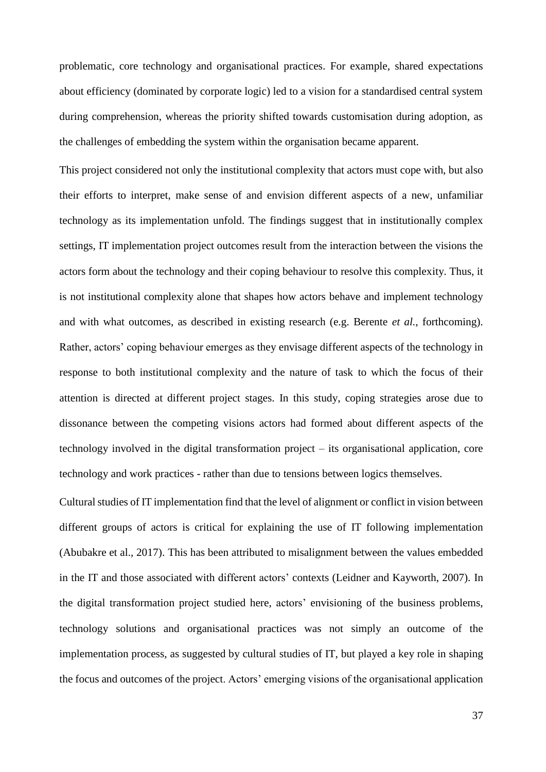problematic, core technology and organisational practices. For example, shared expectations about efficiency (dominated by corporate logic) led to a vision for a standardised central system during comprehension, whereas the priority shifted towards customisation during adoption, as the challenges of embedding the system within the organisation became apparent.

This project considered not only the institutional complexity that actors must cope with, but also their efforts to interpret, make sense of and envision different aspects of a new, unfamiliar technology as its implementation unfold. The findings suggest that in institutionally complex settings, IT implementation project outcomes result from the interaction between the visions the actors form about the technology and their coping behaviour to resolve this complexity. Thus, it is not institutional complexity alone that shapes how actors behave and implement technology and with what outcomes, as described in existing research (e.g. Berente *et al.*, forthcoming). Rather, actors' coping behaviour emerges as they envisage different aspects of the technology in response to both institutional complexity and the nature of task to which the focus of their attention is directed at different project stages. In this study, coping strategies arose due to dissonance between the competing visions actors had formed about different aspects of the technology involved in the digital transformation project – its organisational application, core technology and work practices - rather than due to tensions between logics themselves.

Cultural studies of IT implementation find that the level of alignment or conflict in vision between different groups of actors is critical for explaining the use of IT following implementation (Abubakre et al., 2017). This has been attributed to misalignment between the values embedded in the IT and those associated with different actors' contexts (Leidner and Kayworth, 2007). In the digital transformation project studied here, actors' envisioning of the business problems, technology solutions and organisational practices was not simply an outcome of the implementation process, as suggested by cultural studies of IT, but played a key role in shaping the focus and outcomes of the project. Actors' emerging visions of the organisational application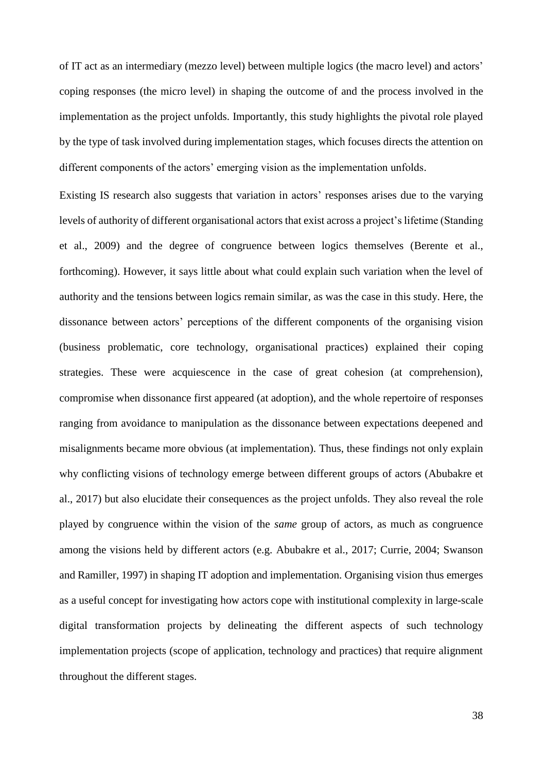of IT act as an intermediary (mezzo level) between multiple logics (the macro level) and actors' coping responses (the micro level) in shaping the outcome of and the process involved in the implementation as the project unfolds. Importantly, this study highlights the pivotal role played by the type of task involved during implementation stages, which focuses directs the attention on different components of the actors' emerging vision as the implementation unfolds.

Existing IS research also suggests that variation in actors' responses arises due to the varying levels of authority of different organisational actors that exist across a project's lifetime (Standing et al., 2009) and the degree of congruence between logics themselves (Berente et al., forthcoming). However, it says little about what could explain such variation when the level of authority and the tensions between logics remain similar, as was the case in this study. Here, the dissonance between actors' perceptions of the different components of the organising vision (business problematic, core technology, organisational practices) explained their coping strategies. These were acquiescence in the case of great cohesion (at comprehension), compromise when dissonance first appeared (at adoption), and the whole repertoire of responses ranging from avoidance to manipulation as the dissonance between expectations deepened and misalignments became more obvious (at implementation). Thus, these findings not only explain why conflicting visions of technology emerge between different groups of actors (Abubakre et al., 2017) but also elucidate their consequences as the project unfolds. They also reveal the role played by congruence within the vision of the *same* group of actors, as much as congruence among the visions held by different actors (e.g. Abubakre et al., 2017; Currie, 2004; Swanson and Ramiller, 1997) in shaping IT adoption and implementation. Organising vision thus emerges as a useful concept for investigating how actors cope with institutional complexity in large-scale digital transformation projects by delineating the different aspects of such technology implementation projects (scope of application, technology and practices) that require alignment throughout the different stages.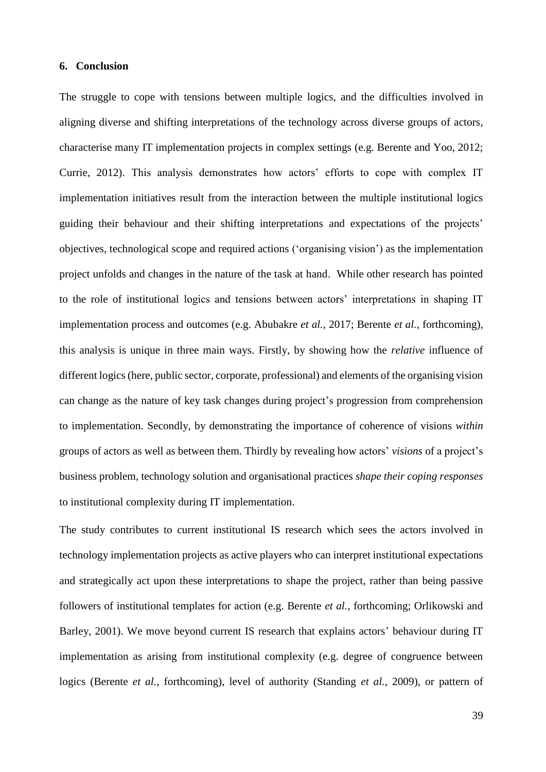#### **6. Conclusion**

The struggle to cope with tensions between multiple logics, and the difficulties involved in aligning diverse and shifting interpretations of the technology across diverse groups of actors, characterise many IT implementation projects in complex settings (e.g. Berente and Yoo, 2012; Currie, 2012). This analysis demonstrates how actors' efforts to cope with complex IT implementation initiatives result from the interaction between the multiple institutional logics guiding their behaviour and their shifting interpretations and expectations of the projects' objectives, technological scope and required actions ('organising vision') as the implementation project unfolds and changes in the nature of the task at hand. While other research has pointed to the role of institutional logics and tensions between actors' interpretations in shaping IT implementation process and outcomes (e.g. Abubakre *et al.*, 2017; Berente *et al.*, forthcoming), this analysis is unique in three main ways. Firstly, by showing how the *relative* influence of different logics (here, public sector, corporate, professional) and elements of the organising vision can change as the nature of key task changes during project's progression from comprehension to implementation. Secondly, by demonstrating the importance of coherence of visions *within* groups of actors as well as between them. Thirdly by revealing how actors' *visions* of a project's business problem, technology solution and organisational practices *shape their coping responses* to institutional complexity during IT implementation.

The study contributes to current institutional IS research which sees the actors involved in technology implementation projects as active players who can interpret institutional expectations and strategically act upon these interpretations to shape the project, rather than being passive followers of institutional templates for action (e.g. Berente *et al.*, forthcoming; Orlikowski and Barley, 2001). We move beyond current IS research that explains actors' behaviour during IT implementation as arising from institutional complexity (e.g. degree of congruence between logics (Berente *et al.*, forthcoming), level of authority (Standing *et al.*, 2009), or pattern of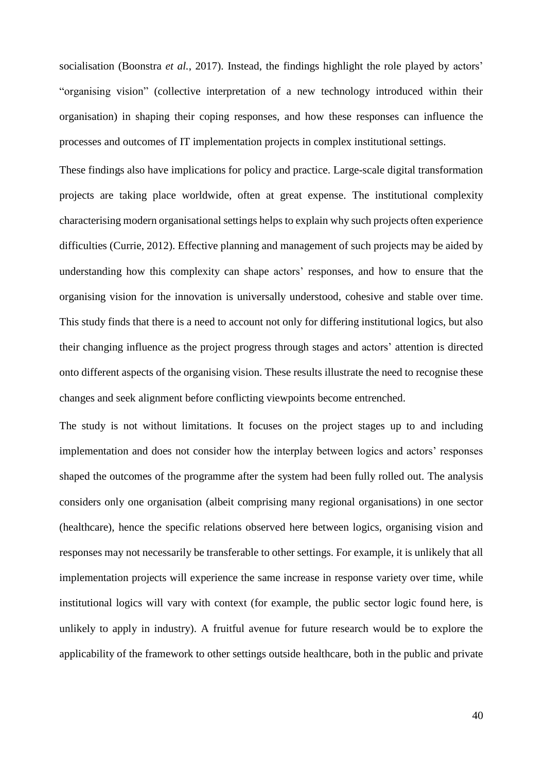socialisation (Boonstra *et al.*, 2017). Instead, the findings highlight the role played by actors' "organising vision" (collective interpretation of a new technology introduced within their organisation) in shaping their coping responses, and how these responses can influence the processes and outcomes of IT implementation projects in complex institutional settings.

These findings also have implications for policy and practice. Large-scale digital transformation projects are taking place worldwide, often at great expense. The institutional complexity characterising modern organisational settings helps to explain why such projects often experience difficulties (Currie, 2012). Effective planning and management of such projects may be aided by understanding how this complexity can shape actors' responses, and how to ensure that the organising vision for the innovation is universally understood, cohesive and stable over time. This study finds that there is a need to account not only for differing institutional logics, but also their changing influence as the project progress through stages and actors' attention is directed onto different aspects of the organising vision. These results illustrate the need to recognise these changes and seek alignment before conflicting viewpoints become entrenched.

The study is not without limitations. It focuses on the project stages up to and including implementation and does not consider how the interplay between logics and actors' responses shaped the outcomes of the programme after the system had been fully rolled out. The analysis considers only one organisation (albeit comprising many regional organisations) in one sector (healthcare), hence the specific relations observed here between logics, organising vision and responses may not necessarily be transferable to other settings. For example, it is unlikely that all implementation projects will experience the same increase in response variety over time, while institutional logics will vary with context (for example, the public sector logic found here, is unlikely to apply in industry). A fruitful avenue for future research would be to explore the applicability of the framework to other settings outside healthcare, both in the public and private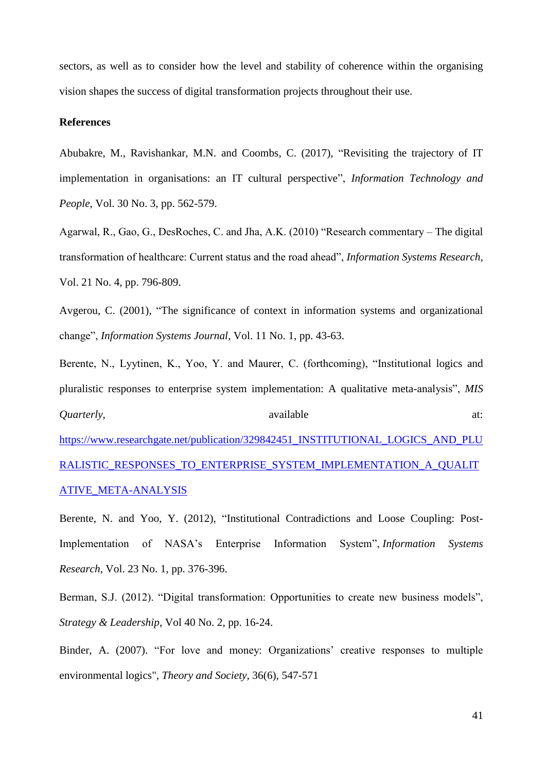sectors, as well as to consider how the level and stability of coherence within the organising vision shapes the success of digital transformation projects throughout their use.

#### **References**

Abubakre, M., Ravishankar, M.N. and Coombs, C. (2017), "Revisiting the trajectory of IT implementation in organisations: an IT cultural perspective", *Information Technology and People*, Vol. 30 No. 3, pp. 562-579.

Agarwal, R., Gao, G., DesRoches, C. and Jha, A.K. (2010) "Research commentary – The digital transformation of healthcare: Current status and the road ahead", *Information Systems Research*, Vol. 21 No. 4, pp. 796-809.

Avgerou, C. (2001), "The significance of context in information systems and organizational change", *Information Systems Journal*, Vol. 11 No. 1, pp. 43-63.

Berente, N., Lyytinen, K., Yoo, Y. and Maurer, C. (forthcoming), "Institutional logics and pluralistic responses to enterprise system implementation: A qualitative meta-analysis", *MIS Quarterly*, available at: [https://www.researchgate.net/publication/329842451\\_INSTITUTIONAL\\_LOGICS\\_AND\\_PLU](https://www.researchgate.net/publication/329842451_INSTITUTIONAL_LOGICS_AND_PLURALISTIC_RESPONSES_TO_ENTERPRISE_SYSTEM_IMPLEMENTATION_A_QUALITATIVE_META-ANALYSIS) [RALISTIC\\_RESPONSES\\_TO\\_ENTERPRISE\\_SYSTEM\\_IMPLEMENTATION\\_A\\_QUALIT](https://www.researchgate.net/publication/329842451_INSTITUTIONAL_LOGICS_AND_PLURALISTIC_RESPONSES_TO_ENTERPRISE_SYSTEM_IMPLEMENTATION_A_QUALITATIVE_META-ANALYSIS) [ATIVE\\_META-ANALYSIS](https://www.researchgate.net/publication/329842451_INSTITUTIONAL_LOGICS_AND_PLURALISTIC_RESPONSES_TO_ENTERPRISE_SYSTEM_IMPLEMENTATION_A_QUALITATIVE_META-ANALYSIS)

Berente, N. and Yoo, Y. (2012), "Institutional Contradictions and Loose Coupling: Post-Implementation of NASA's Enterprise Information System", *Information Systems Research*, Vol. 23 No. 1, pp. 376-396.

Berman, S.J. (2012). "Digital transformation: Opportunities to create new business models", *Strategy & Leadership*, Vol 40 No. 2, pp. 16-24.

Binder, A. (2007). "For love and money: Organizations' creative responses to multiple environmental logics", *Theory and Society*, 36(6), 547-571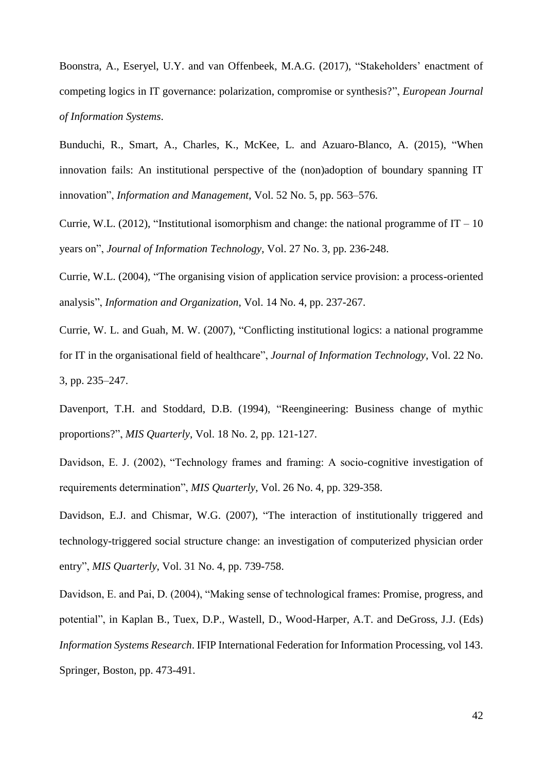Boonstra, A., Eseryel, U.Y. and van Offenbeek, M.A.G. (2017), "Stakeholders' enactment of competing logics in IT governance: polarization, compromise or synthesis?", *European Journal of Information Systems*.

Bunduchi, R., Smart, A., Charles, K., McKee, L. and Azuaro-Blanco, A. (2015), "When innovation fails: An institutional perspective of the (non)adoption of boundary spanning IT innovation", *Information and Management*, Vol. 52 No. 5, pp. 563–576.

Currie, W.L. (2012), "Institutional isomorphism and change: the national programme of  $IT - 10$ years on", *Journal of Information Technology*, Vol. 27 No. 3, pp. 236-248.

Currie, W.L. (2004), "The organising vision of application service provision: a process-oriented analysis", *Information and Organization*, Vol. 14 No. 4, pp. 237-267.

Currie, W. L. and Guah, M. W. (2007), "Conflicting institutional logics: a national programme for IT in the organisational field of healthcare", *Journal of Information Technology*, Vol. 22 No. 3, pp. 235–247.

Davenport, T.H. and Stoddard, D.B. (1994), "Reengineering: Business change of mythic proportions?", *MIS Quarterly*, Vol. 18 No. 2, pp. 121-127.

Davidson, E. J. (2002), "Technology frames and framing: A socio-cognitive investigation of requirements determination", *MIS Quarterly*, Vol. 26 No. 4, pp. 329-358.

Davidson, E.J. and Chismar, W.G. (2007), "The interaction of institutionally triggered and technology-triggered social structure change: an investigation of computerized physician order entry", *MIS Quarterly*, Vol. 31 No. 4, pp. 739-758.

Davidson, E. and Pai, D. (2004), "Making sense of technological frames: Promise, progress, and potential", in Kaplan B., Tuex, D.P., Wastell, D., Wood-Harper, A.T. and DeGross, J.J. (Eds) *Information Systems Research*. IFIP International Federation for Information Processing, vol 143. Springer, Boston, pp. 473-491.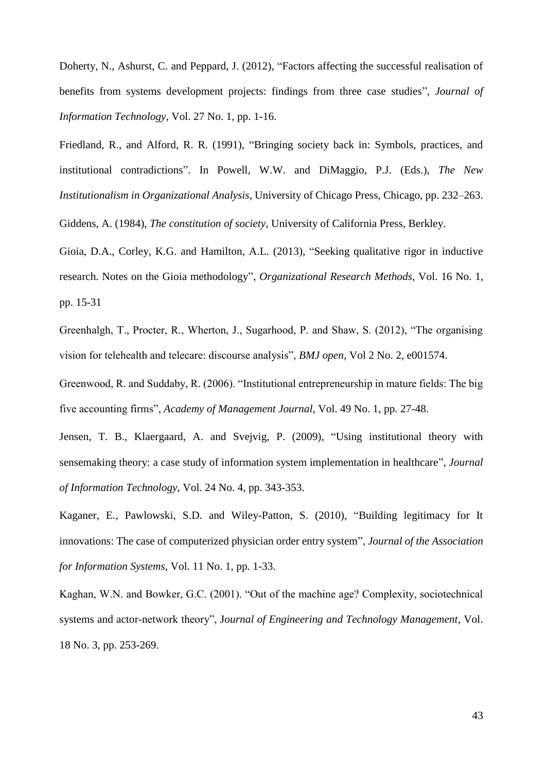Doherty, N., Ashurst, C. and Peppard, J. (2012), "Factors affecting the successful realisation of benefits from systems development projects: findings from three case studies", *Journal of Information Technology*, Vol. 27 No. 1, pp. 1-16.

Friedland, R., and Alford, R. R. (1991), "Bringing society back in: Symbols, practices, and institutional contradictions". In Powell, W.W. and DiMaggio, P.J. (Eds.), *The New Institutionalism in Organizational Analysis*, University of Chicago Press, Chicago, pp. 232–263.

Giddens, A. (1984), *The constitution of society,* University of California Press, Berkley.

Gioia, D.A., Corley, K.G. and Hamilton, A.L. (2013), "Seeking qualitative rigor in inductive research. Notes on the Gioia methodology", *Organizational Research Methods*, Vol. 16 No. 1, pp. 15-31

Greenhalgh, T., Procter, R., Wherton, J., Sugarhood, P. and Shaw, S. (2012), "The organising vision for telehealth and telecare: discourse analysis", *BMJ open,* Vol 2 No. 2, e001574.

Greenwood, R. and Suddaby, R. (2006). "Institutional entrepreneurship in mature fields: The big five accounting firms", *Academy of Management Journal*, Vol. 49 No. 1, pp. 27-48.

Jensen, T. B., Klaergaard, A. and Svejvig, P. (2009), "Using institutional theory with sensemaking theory: a case study of information system implementation in healthcare", *Journal of Information Technology*, Vol. 24 No. 4, pp. 343-353.

Kaganer, E., Pawlowski, S.D. and Wiley-Patton, S. (2010), "Building legitimacy for It innovations: The case of computerized physician order entry system", *Journal of the Association for Information Systems*, Vol. 11 No. 1, pp. 1-33.

Kaghan, W.N. and Bowker, G.C. (2001). "Out of the machine age? Complexity, sociotechnical systems and actor-network theory", J*ournal of Engineering and Technology Management*, Vol. 18 No. 3, pp. 253-269.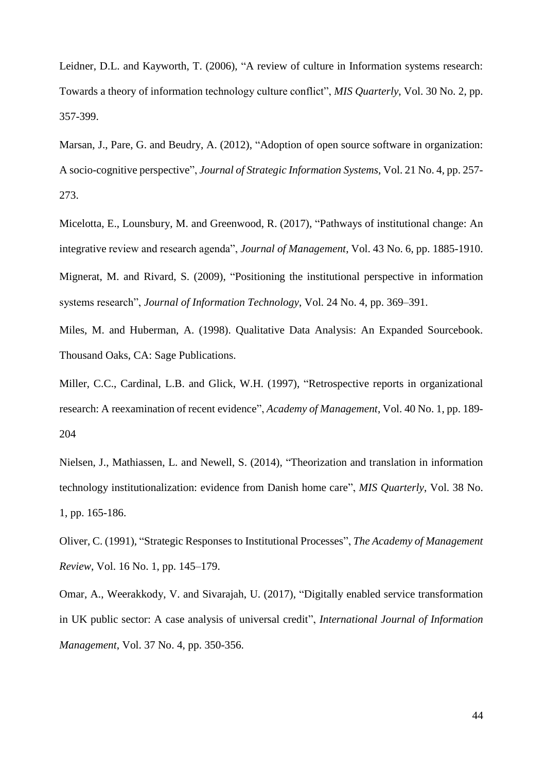Leidner, D.L. and Kayworth, T. (2006), "A review of culture in Information systems research: Towards a theory of information technology culture conflict", *MIS Quarterly*, Vol. 30 No. 2, pp. 357-399.

Marsan, J., Pare, G. and Beudry, A. (2012), "Adoption of open source software in organization: A socio-cognitive perspective", *Journal of Strategic Information Systems*, Vol. 21 No. 4, pp. 257- 273.

Micelotta, E., Lounsbury, M. and Greenwood, R. (2017), "Pathways of institutional change: An integrative review and research agenda", *Journal of Management*, Vol. 43 No. 6, pp. 1885-1910. Mignerat, M. and Rivard, S. (2009), "Positioning the institutional perspective in information systems research", *Journal of Information Technology*, Vol. 24 No. 4, pp. 369–391.

Miles, M. and Huberman, A. (1998). Qualitative Data Analysis: An Expanded Sourcebook. Thousand Oaks, CA: Sage Publications.

Miller, C.C., Cardinal, L.B. and Glick, W.H. (1997), "Retrospective reports in organizational research: A reexamination of recent evidence", *Academy of Management*, Vol. 40 No. 1, pp. 189- 204

Nielsen, J., Mathiassen, L. and Newell, S. (2014), "Theorization and translation in information technology institutionalization: evidence from Danish home care", *MIS Quarterly*, Vol. 38 No. 1, pp. 165-186.

Oliver, C. (1991), "Strategic Responses to Institutional Processes", *The Academy of Management Review*, Vol. 16 No. 1, pp. 145–179.

Omar, A., Weerakkody, V. and Sivarajah, U. (2017), "Digitally enabled service transformation in UK public sector: A case analysis of universal credit", *International Journal of Information Management*, Vol. 37 No. 4, pp. 350-356.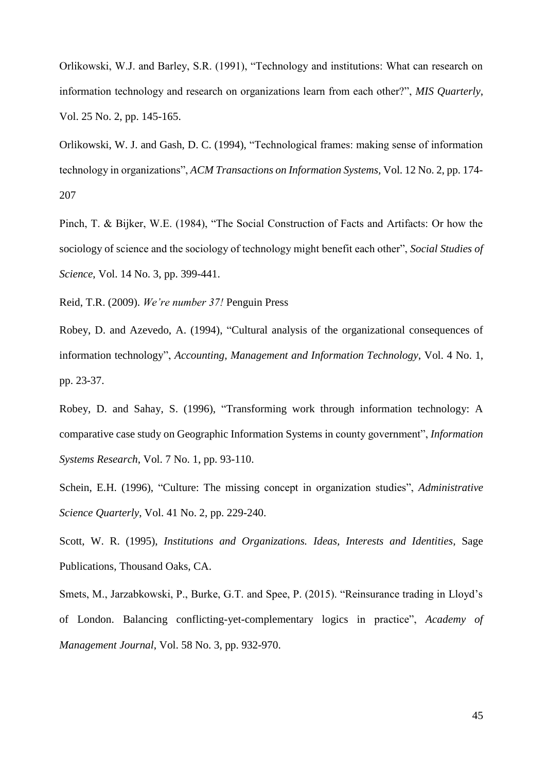Orlikowski, W.J. and Barley, S.R. (1991), "Technology and institutions: What can research on information technology and research on organizations learn from each other?", *MIS Quarterly*, Vol. 25 No. 2, pp. 145-165.

Orlikowski, W. J. and Gash, D. C. (1994), "Technological frames: making sense of information technology in organizations", *ACM Transactions on Information Systems,* Vol. 12 No. 2, pp. 174- 207

Pinch, T. & Bijker, W.E. (1984), "The Social Construction of Facts and Artifacts: Or how the sociology of science and the sociology of technology might benefit each other", *Social Studies of Science*, Vol. 14 No. 3, pp. 399-441.

Reid, T.R. (2009). *We're number 37!* Penguin Press

Robey, D. and Azevedo, A. (1994), "Cultural analysis of the organizational consequences of information technology", *Accounting, Management and Information Technology*, Vol. 4 No. 1, pp. 23-37.

Robey, D. and Sahay, S. (1996), "Transforming work through information technology: A comparative case study on Geographic Information Systems in county government", *Information Systems Research*, Vol. 7 No. 1, pp. 93-110.

Schein, E.H. (1996), "Culture: The missing concept in organization studies", *Administrative Science Quarterly*, Vol. 41 No. 2, pp. 229-240.

Scott, W. R. (1995), *Institutions and Organizations. Ideas, Interests and Identities*, Sage Publications, Thousand Oaks, CA.

Smets, M., Jarzabkowski, P., Burke, G.T. and Spee, P. (2015). "Reinsurance trading in Lloyd's of London. Balancing conflicting-yet-complementary logics in practice", *Academy of Management Journal*, Vol. 58 No. 3, pp. 932-970.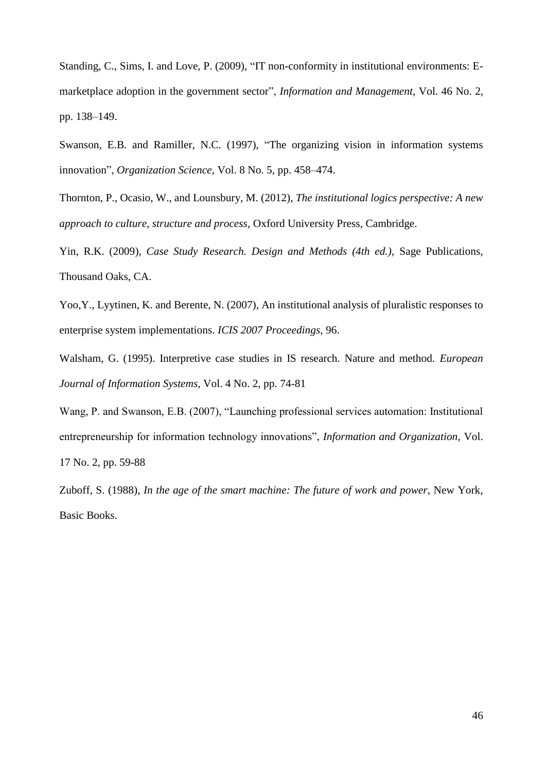Standing, C., Sims, I. and Love, P. (2009), "IT non-conformity in institutional environments: Emarketplace adoption in the government sector", *Information and Management*, Vol. 46 No. 2, pp. 138–149.

Swanson, E.B. and Ramiller, N.C. (1997), "The organizing vision in information systems innovation", *Organization Science*, Vol. 8 No. 5, pp. 458–474.

Thornton, P., Ocasio, W., and Lounsbury, M. (2012), *The institutional logics perspective: A new approach to culture, structure and process*, Oxford University Press, Cambridge.

Yin, R.K. (2009), *Case Study Research. Design and Methods (4th ed.),* Sage Publications, Thousand Oaks, CA.

Yoo,Y., Lyytinen, K. and Berente, N. (2007), An institutional analysis of pluralistic responses to enterprise system implementations. *ICIS 2007 Proceedings*, 96.

Walsham, G. (1995). Interpretive case studies in IS research. Nature and method. *European Journal of Information Systems*, Vol. 4 No. 2, pp. 74-81

Wang, P. and Swanson, E.B. (2007), "Launching professional services automation: Institutional entrepreneurship for information technology innovations", *Information and Organization*, Vol. 17 No. 2, pp. 59-88

Zuboff, S. (1988), *In the age of the smart machine: The future of work and power*, New York, Basic Books.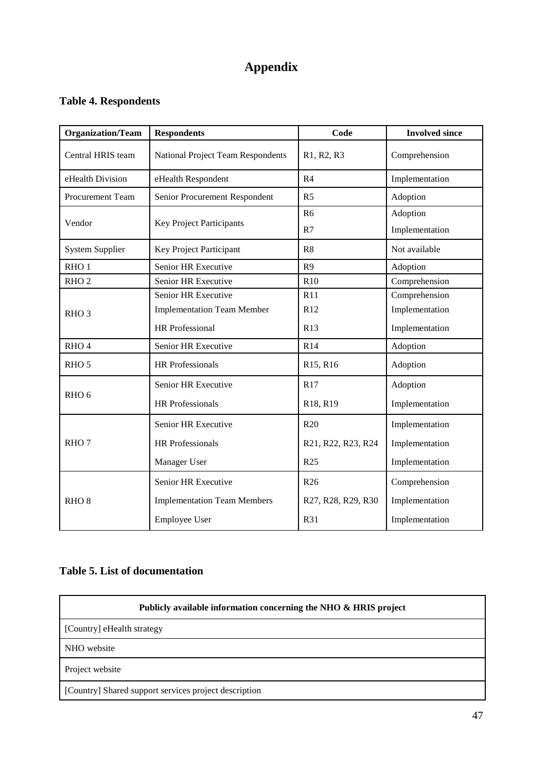### **Appendix**

### **Table 4. Respondents**

| <b>Organization/Team</b> | <b>Respondents</b>                 | Code                              | <b>Involved</b> since |
|--------------------------|------------------------------------|-----------------------------------|-----------------------|
| Central HRIS team        | National Project Team Respondents  | R1, R2, R3                        | Comprehension         |
| eHealth Division         | eHealth Respondent                 | R4                                | Implementation        |
| Procurement Team         | Senior Procurement Respondent      | R <sub>5</sub>                    | Adoption              |
|                          |                                    | R <sub>6</sub>                    | Adoption              |
| Vendor                   | Key Project Participants           | R7                                | Implementation        |
| <b>System Supplier</b>   | Key Project Participant            | R8                                | Not available         |
| RHO <sub>1</sub>         | Senior HR Executive                | R <sub>9</sub>                    | Adoption              |
| RHO <sub>2</sub>         | Senior HR Executive                | R10                               | Comprehension         |
|                          | Senior HR Executive                | R11                               | Comprehension         |
| RHO <sub>3</sub>         | <b>Implementation Team Member</b>  | R12                               | Implementation        |
|                          | <b>HR</b> Professional             | R13                               | Implementation        |
| RHO <sub>4</sub>         | Senior HR Executive                | R14                               | Adoption              |
| RHO <sub>5</sub>         | <b>HR</b> Professionals            | R <sub>15</sub> , R <sub>16</sub> | Adoption              |
|                          | Senior HR Executive                | R17                               | Adoption              |
| RHO <sub>6</sub>         | <b>HR</b> Professionals            | R18, R19                          | Implementation        |
|                          | Senior HR Executive                | R20                               | Implementation        |
| RHO <sub>7</sub>         | <b>HR</b> Professionals            | R21, R22, R23, R24                | Implementation        |
|                          | Manager User                       | R <sub>25</sub>                   | Implementation        |
|                          | Senior HR Executive                | R <sub>26</sub>                   | Comprehension         |
| RHO <sub>8</sub>         | <b>Implementation Team Members</b> | R27, R28, R29, R30                | Implementation        |
|                          | <b>Employee User</b>               | R31                               | Implementation        |

### **Table 5. List of documentation**

| Publicly available information concerning the NHO & HRIS project |
|------------------------------------------------------------------|
| [Country] eHealth strategy                                       |
| NHO website                                                      |
| Project website                                                  |
| [Country] Shared support services project description            |